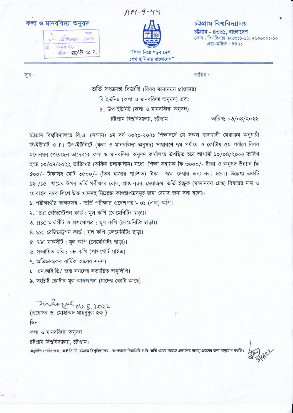কলা ও মানববিদ্যা অনুষদ





চউগ্ৰাম বিশ্ববিদ্যালয়

চউগ্ৰাম - ৪৩৩১. বাংলাদেশ ফোন: পিএবিএক্স ৭২৬৩১১-১৪, ২৬০৬০০১-১০  $43 - 9$   $27 - 889$ 

সূত্র:

তারিখ:

ভর্তি সংক্রান্ত বিজ্ঞপ্তি (বিষয় মনোনয়ন প্রাপ্তদের) বি-ইউনিট (কলা ও মানববিদ্যা অনুষদ) এবং  $B1$  উপ-ইউনিট (কলা ও মানববিদ্যা অনুষদ) চট্টগ্রাম বিশ্ববিদ্যালয়, চট্টগ্রাম।

তারিখ: ০৩/০৪/২০২২

চউগ্রাম বিশ্ববিদ্যালয়ে বি.এ. (সম্মান) ১ম বর্ষ ২০২০-২০২১ শিক্ষাবর্ষে যে সকল ছাত্রছাত্রী মেধাক্রম অনুযায়ী বি-ইউনিট ও B1 উপ-ইউনিটে (কলা ও মানববিদ্যা অনুষদ) সাধারণে ৭ম পর্যায়ে ও কোটায় ৫ম পর্যায়ে বিষয় মনোনয়ন পেয়েছেন তাদেরকে কলা ও মানববিদ্যা অনুষদ কার্যালয়ে উপস্থিত হয়ে আগামী ১০/০৪/২০২২ তারিখ হতে ১৩/০৪/২০২২ তারিখের (অফিস চলাকালীন) মধ্যে শিক্ষা সহায়ক ফি ৩০০০/- টাকা ও অনুষদ উন্নয়ন ফি ৫০০/- টাকাসহ মোট ৩৫০০/- (তিন হাজার পার্চশত) টাকা জমা দেয়ার জন্য বলা হলো। উল্লেখ্য একটি ১২"/১৫" খামের উপর ভর্তি পর্রীক্ষার রোল, প্রাপ্ত নম্বর, মেধাক্রম, ভর্তি ইচ্ছুক (মনোনয়ন প্রাপ্ত) বিষয়ের নাম ও মোবাইল নম্বর লিখে উক্ত খামসহ নিম্নোক্ত কাগজপত্রসমূহ জমা দেয়ার জন্য বলা হলো:-

১. পরীক্ষার্থীর স্বাক্ষরসহ -"ভর্তি পরীক্ষার প্রবেশপত্র"- ০১ (এক) কপি।

২. HSC রেজিস্ট্রেশন কার্ড: মল কপি (লেমেনিটিং ছাড়া)।

৩. HSC মার্কসীট ও প্রশংসাপত্র: মূল কপি (লেমেনিটিং ছাড়া)।

8. SSC রেজিস্ট্রেশন কার্ড: মূল কপি (লেমেনিটিং ছাড়া)

৫. SSC মার্কসীট: মূল কপি (লেমেনিটিং ছাড়া)।

৬. সত্যায়িত ছবি: ০৮ কপি (পাসপোর্ট সাইজ)।

৭. অভিভাবকের বার্ষিক আয়ের সনদ।

৮. এন.আই.ডি/ জন্ম সনদের সত্যায়িত অনুলিপি।

৯. সংশ্লিষ্ট কোটার মূল কাগজপত্র (যাদের কোটা আছে)।

Zuhrzul 06.8, 2022 (প্রফেসর ড. মোহাম্মদ মাহববুল হক) ডিন কলা ও মানববিদ্যা অনুষদ চউগ্রাম বিশ্ববিদ্যালয়, চউগ্রাম। অনুলিপি : পরিচালক, আই.সি.টি. চট্টগ্রাম বিশ্ববিদ্যালয় - আপনাকে বিজ্ঞপ্তিটি চ.বি. ভর্তি ওয়েব সাইটে প্রকাশের ব্যবছা গ্রহনের জন্য অনুরোধ করছি।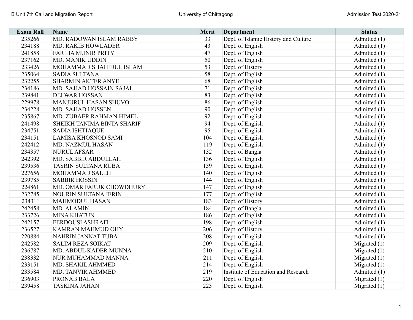| <b>Exam Roll</b> | <b>Name</b>                | <b>Merit</b> | <b>Department</b>                    | <b>Status</b>  |
|------------------|----------------------------|--------------|--------------------------------------|----------------|
| 235266           | MD. RADOWAN ISLAM RABBY    | 33           | Dept. of Islamic History and Culture | Admitted (1)   |
| 234188           | MD. RAKIB HOWLADER         | 43           | Dept. of English                     | Admitted (1)   |
| 241858           | <b>FARIHA MUNIR PRITY</b>  | 47           | Dept. of English                     | Admitted (1)   |
| 237162           | MD. MANIK UDDIN            | 50           | Dept. of English                     | Admitted (1)   |
| 233426           | MOHAMMAD SHAHIDUL ISLAM    | 53           | Dept. of History                     | Admitted (1)   |
| 235064           | <b>SADIA SULTANA</b>       | 58           | Dept. of English                     | Admitted (1)   |
| 232255           | <b>SHARMIN AKTER ANYE</b>  | 68           | Dept. of English                     | Admitted (1)   |
| 234186           | MD. SAJJAD HOSSAIN SAJAL   | 71           | Dept. of English                     | Admitted (1)   |
| 239841           | <b>DELWAR HOSSAN</b>       | 83           | Dept. of English                     | Admitted (1)   |
| 229978           | MANJURUL HASAN SHUVO       | 86           | Dept. of English                     | Admitted (1)   |
| 234228           | <b>MD. SAJJAD HOSSEN</b>   | 90           | Dept. of English                     | Admitted (1)   |
| 235867           | MD. ZUBAER RAHMAN HIMEL    | 92           | Dept. of English                     | Admitted (1)   |
| 241498           | SHEIKH TANIMA BINTA SHARIF | 94           | Dept. of English                     | Admitted (1)   |
| 234751           | <b>SADIA ISHTIAQUE</b>     | 95           | Dept. of English                     | Admitted (1)   |
| 234151           | <b>LAMISA KHOSNOD SAMI</b> | 104          | Dept. of English                     | Admitted (1)   |
| 242412           | MD. NAZMUL HASAN           | 119          | Dept. of English                     | Admitted (1)   |
| 234357           | <b>NURUL AFSAR</b>         | 132          | Dept. of Bangla                      | Admitted (1)   |
| 242392           | MD. SABBIR ABDULLAH        | 136          | Dept. of English                     | Admitted (1)   |
| 239536           | <b>TASRIN SULTANA RUBA</b> | 139          | Dept. of English                     | Admitted (1)   |
| 227656           | MOHAMMAD SALEH             | 140          | Dept. of English                     | Admitted (1)   |
| 239785           | <b>SABBIR HOSSIN</b>       | 144          | Dept. of English                     | Admitted (1)   |
| 224861           | MD. OMAR FARUK CHOWDHURY   | 147          | Dept. of English                     | Admitted (1)   |
| 232785           | NOURIN SULTANA JERIN       | 177          | Dept. of English                     | Admitted (1)   |
| 234311           | <b>MAHMODUL HASAN</b>      | 183          | Dept. of History                     | Admitted (1)   |
| 242458           | MD. ALAMIN                 | 184          | Dept. of Bangla                      | Admitted (1)   |
| 233726           | <b>MINA KHATUN</b>         | 186          | Dept. of English                     | Admitted (1)   |
| 242157           | <b>FERDOUSI ASHRAFI</b>    | 198          | Dept. of English                     | Admitted (1)   |
| 236527           | KAMRAN MAHMUD OHY          | 206          | Dept. of History                     | Admitted (1)   |
| 220884           | NAHRIN JANNAT TUBA         | 208          | Dept. of English                     | Admitted (1)   |
| 242582           | <b>SALIM REZA SOIKAT</b>   | 209          | Dept. of English                     | Migrated $(1)$ |
| 236787           | MD. ABDUL KADER MUNNA      | 210          | Dept. of English                     | Migrated $(1)$ |
| 238332           | NUR MUHAMMAD MANNA         | 211          | Dept. of English                     | Migrated $(1)$ |
| 233151           | MD. SHAKIL AHMMED          | 214          | Dept. of English                     | Migrated $(1)$ |
| 233584           | <b>MD. TANVIR AHMMED</b>   | 219          | Institute of Education and Research  | Admitted (1)   |
| 236903           | PRONAB BALA                | 220          | Dept. of English                     | Migrated $(1)$ |
| 239458           | <b>TASKINA JAHAN</b>       | 223          | Dept. of English                     | Migrated $(1)$ |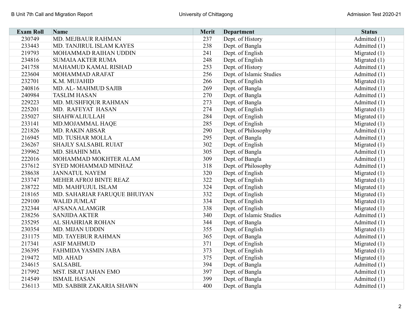| <b>Exam Roll</b> | <b>Name</b>                  | Merit | <b>Department</b>        | <b>Status</b>  |
|------------------|------------------------------|-------|--------------------------|----------------|
| 230749           | MD. MEJBAUR RAHMAN           | 237   | Dept. of History         | Admitted (1)   |
| 233443           | MD. TANJIRUL ISLAM KAYES     | 238   | Dept. of Bangla          | Admitted (1)   |
| 219793           | MOHAMMAD RAIHAN UDDIN        | 241   | Dept. of English         | Migrated $(1)$ |
| 234816           | <b>SUMAIA AKTER RUMA</b>     | 248   | Dept. of English         | Migrated $(1)$ |
| 241758           | MAHAMUD KAMAL RISHAD         | 253   | Dept. of History         | Admitted (1)   |
| 223604           | MOHAMMAD ARAFAT              | 256   | Dept. of Islamic Studies | Admitted (1)   |
| 232701           | K.M. MUJAHID                 | 266   | Dept. of English         | Migrated $(1)$ |
| 240816           | MD. AL-MAHMUD SAJIB          | 269   | Dept. of Bangla          | Admitted (1)   |
| 240984           | <b>TASLIM HASAN</b>          | 270   | Dept. of Bangla          | Admitted (1)   |
| 229223           | MD. MUSHFIQUR RAHMAN         | 273   | Dept. of Bangla          | Admitted (1)   |
| 225201           | MD. RAFEYAT HASAN            | 274   | Dept. of English         | Migrated $(1)$ |
| 235027           | <b>SHAHWALIULLAH</b>         | 284   | Dept. of English         | Migrated $(1)$ |
| 233141           | MD.MOJAMMAL HAQE             | 285   | Dept. of English         | Migrated $(1)$ |
| 221826           | MD. RAKIN ABSAR              | 290   | Dept. of Philosophy      | Admitted (1)   |
| 216945           | MD. TUSHAR MOLLA             | 295   | Dept. of Bangla          | Admitted (1)   |
| 236267           | SHAJLY SALSABIL RUIAT        | 302   | Dept. of English         | Migrated $(1)$ |
| 239962           | <b>MD. SHAHIN MIA</b>        | 305   | Dept. of Bangla          | Admitted (1)   |
| 222016           | MOHAMMAD MOKHTER ALAM        | 309   | Dept. of Bangla          | Admitted (1)   |
| 237612           | SYED MOHAMMAD MINHAZ         | 318   | Dept. of Philosophy      | Admitted (1)   |
| 238638           | <b>JANNATUL NAYEM</b>        | 320   | Dept. of English         | Migrated (1)   |
| 233747           | MEHER AFROJ BINTE REAZ       | 322   | Dept. of English         | Migrated $(1)$ |
| 238722           | MD. MAHFUJUL ISLAM           | 324   | Dept. of English         | Migrated $(1)$ |
| 218165           | MD. SAHARIAR FARUQUE BHUIYAN | 332   | Dept. of English         | Migrated $(1)$ |
| 229100           | <b>WALID JUMLAT</b>          | 334   | Dept. of English         | Migrated $(1)$ |
| 232344           | AFSANA ALAMGIR               | 338   | Dept. of English         | Migrated $(1)$ |
| 238256           | <b>SANJIDA AKTER</b>         | 340   | Dept. of Islamic Studies | Admitted (1)   |
| 235295           | AL SHAHRIAR ROHAN            | 344   | Dept. of Bangla          | Admitted (1)   |
| 230354           | MD. MIJAN UDDIN              | 355   | Dept. of English         | Migrated $(1)$ |
| 231175           | MD. TAYEBUR RAHMAN           | 365   | Dept. of Bangla          | Admitted (1)   |
| 217341           | <b>ASIF MAHMUD</b>           | 371   | Dept. of English         | Migrated (1)   |
| 236395           | <b>FAHMIDA YASMIN JABA</b>   | 373   | Dept. of English         | Migrated $(1)$ |
| 219472           | MD. AHAD                     | 375   | Dept. of English         | Migrated $(1)$ |
| 234615           | <b>SALSABIL</b>              | 394   | Dept. of Bangla          | Admitted (1)   |
| 217992           | <b>MST. ISRAT JAHAN EMO</b>  | 397   | Dept. of Bangla          | Admitted (1)   |
| 214549           | <b>ISMAIL HASAN</b>          | 399   | Dept. of Bangla          | Admitted (1)   |
| 236113           | MD. SABBIR ZAKARIA SHAWN     | 400   | Dept. of Bangla          | Admitted (1)   |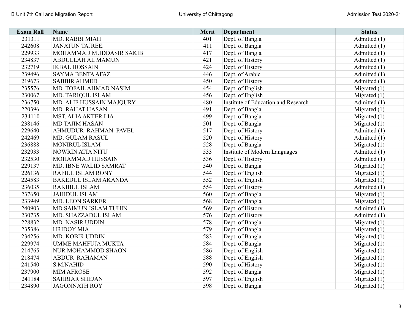| <b>Exam Roll</b> | <b>Name</b>                  | Merit | <b>Department</b>                   | <b>Status</b>  |
|------------------|------------------------------|-------|-------------------------------------|----------------|
| 231311           | MD. RABBI MIAH               | 401   | Dept. of Bangla                     | Admitted (1)   |
| 242608           | <b>JANATUN TAJREE.</b>       | 411   | Dept. of Bangla                     | Admitted (1)   |
| 229933           | MOHAMMAD MUDDASIR SAKIB      | 417   | Dept. of Bangla                     | Admitted (1)   |
| 234837           | <b>ABDULLAH AL MAMUN</b>     | 421   | Dept. of History                    | Admitted (1)   |
| 232719           | <b>IKBAL HOSSAIN</b>         | 424   | Dept. of History                    | Admitted (1)   |
| 239496           | <b>SAYMA BENTA AFAZ</b>      | 446   | Dept. of Arabic                     | Admitted (1)   |
| 219673           | <b>SABBIR AHMED</b>          | 450   | Dept. of History                    | Admitted (1)   |
| 235576           | MD. TOFAIL AHMAD NASIM       | 454   | Dept. of English                    | Migrated $(1)$ |
| 230067           | MD. TARIQUL ISLAM            | 456   | Dept. of English                    | Migrated $(1)$ |
| 236750           | MD. ALIF HUSSAIN MAJQURY     | 480   | Institute of Education and Research | Admitted (1)   |
| 220396           | <b>MD. RAHAT HASAN</b>       | 491   | Dept. of Bangla                     | Migrated $(1)$ |
| 234110           | <b>MST. ALIA AKTER LIA</b>   | 499   | Dept. of Bangla                     | Migrated $(1)$ |
| 238146           | <b>MD TAJIM HASAN</b>        | 501   | Dept. of Bangla                     | Migrated $(1)$ |
| 229640           | AHMUDUR RAHMAN PAVEL         | 517   | Dept. of History                    | Admitted (1)   |
| 242469           | MD. GULAM RASUL              | 520   | Dept. of History                    | Admitted (1)   |
| 236888           | <b>MONIRUL ISLAM</b>         | 528   | Dept. of Bangla                     | Migrated $(1)$ |
| 232933           | <b>NOWRIN ATIA NITU</b>      | 533   | Institute of Modern Languages       | Admitted (1)   |
| 232530           | <b>MOHAMMAD HUSSAIN</b>      | 536   | Dept. of History                    | Admitted (1)   |
| 229137           | MD. IBNE WALID SAMRAT        | 540   | Dept. of Bangla                     | Migrated $(1)$ |
| 226136           | <b>RAFIUL ISLAM RONY</b>     | 544   | Dept. of English                    | Migrated $(1)$ |
| 224583           | <b>BAKEDUL ISLAM AKANDA</b>  | 552   | Dept. of English                    | Migrated $(1)$ |
| 236035           | <b>RAKIBUL ISLAM</b>         | 554   | Dept. of History                    | Admitted (1)   |
| 237650           | <b>JAHIDUL ISLAM</b>         | 560   | Dept. of Bangla                     | Migrated $(1)$ |
| 233949           | <b>MD. LEON SARKER</b>       | 568   | Dept. of Bangla                     | Migrated $(1)$ |
| 240903           | <b>MD.SAIMUN ISLAM TUHIN</b> | 569   | Dept. of History                    | Admitted (1)   |
| 230735           | MD. SHAZZADUL ISLAM          | 576   | Dept. of History                    | Admitted (1)   |
| 228832           | MD. NASIR UDDIN              | 578   | Dept. of Bangla                     | Migrated $(1)$ |
| 235386           | <b>HRIDOY MIA</b>            | 579   | Dept. of Bangla                     | Migrated $(1)$ |
| 234256           | MD. KOBIR UDDIN              | 583   | Dept. of Bangla                     | Migrated $(1)$ |
| 229974           | <b>UMME MAHFUJA MUKTA</b>    | 584   | Dept. of Bangla                     | Migrated $(1)$ |
| 214765           | NUR MOHAMMOD SHAON           | 586   | Dept. of English                    | Migrated $(1)$ |
| 218474           | <b>ABDUR RAHAMAN</b>         | 588   | Dept. of English                    | Migrated $(1)$ |
| 241540           | <b>S.M.NAHID</b>             | 590   | Dept. of History                    | Migrated $(1)$ |
| 237900           | <b>MIM AFROSE</b>            | 592   | Dept. of Bangla                     | Migrated $(1)$ |
| 241184           | <b>SAHRIAR SHEJAN</b>        | 597   | Dept. of English                    | Migrated $(1)$ |
| 234890           | <b>JAGONNATH ROY</b>         | 598   | Dept. of Bangla                     | Migrated $(1)$ |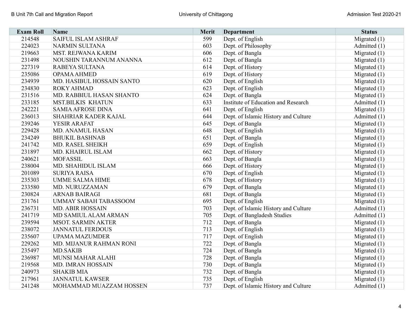| <b>Exam Roll</b> | <b>Name</b>                  | Merit | <b>Department</b>                    | <b>Status</b>  |
|------------------|------------------------------|-------|--------------------------------------|----------------|
| 214548           | SAIFUL ISLAM ASHRAF          | 599   | Dept. of English                     | Migrated $(1)$ |
| 224023           | <b>NARMIN SULTANA</b>        | 603   | Dept. of Philosophy                  | Admitted (1)   |
| 219663           | MST. REJWANA KARIM           | 606   | Dept. of Bangla                      | Migrated $(1)$ |
| 231498           | NOUSHIN TARANNUM ANANNA      | 612   | Dept. of Bangla                      | Migrated $(1)$ |
| 227319           | RABEYA SULTANA               | 614   | Dept. of History                     | Migrated $(1)$ |
| 235086           | <b>OPAMA AHMED</b>           | 619   | Dept. of History                     | Migrated $(1)$ |
| 234939           | MD. HASIBUL HOSSAIN SANTO    | 620   | Dept. of English                     | Migrated $(1)$ |
| 234830           | <b>ROKY AHMAD</b>            | 623   | Dept. of English                     | Migrated $(1)$ |
| 231516           | MD. RABBIUL HASAN SHANTO     | 624   | Dept. of Bangla                      | Migrated $(1)$ |
| 233185           | <b>MST.BILKIS KHATUN</b>     | 633   | Institute of Education and Research  | Admitted (1)   |
| 242221           | <b>SAMIA AFROSE DINA</b>     | 641   | Dept. of English                     | Migrated $(1)$ |
| 236013           | SHAHRIAR KADER KAJAL         | 644   | Dept. of Islamic History and Culture | Admitted (1)   |
| 239246           | YESIR ARAFAT                 | 645   | Dept. of Bangla                      | Migrated $(1)$ |
| 229428           | MD. ANAMUL HASAN             | 648   | Dept. of English                     | Migrated $(1)$ |
| 234249           | <b>BHUKIL BASHNAB</b>        | 651   | Dept. of Bangla                      | Migrated $(1)$ |
| 241742           | MD. RASEL SHEIKH             | 659   | Dept. of English                     | Migrated $(1)$ |
| 231897           | MD. KHAIRUL ISLAM            | 662   | Dept. of History                     | Migrated $(1)$ |
| 240621           | <b>MOFASSIL</b>              | 663   | Dept. of Bangla                      | Migrated $(1)$ |
| 238004           | MD. SHAHIDUL ISLAM           | 666   | Dept. of History                     | Migrated $(1)$ |
| 201089           | <b>SURIYA RAISA</b>          | 670   | Dept. of English                     | Migrated $(1)$ |
| 235303           | <b>UMME SALMA HIME</b>       | 678   | Dept. of History                     | Migrated $(1)$ |
| 233580           | MD. NURUZZAMAN               | 679   | Dept. of Bangla                      | Migrated $(1)$ |
| 230824           | <b>ARNAB BAIRAGI</b>         | 681   | Dept. of Bangla                      | Migrated $(1)$ |
| 231761           | <b>UMMAY SABAH TABASSOOM</b> | 695   | Dept. of English                     | Migrated $(1)$ |
| 236731           | <b>MD. ABIR HOSSAIN</b>      | 703   | Dept. of Islamic History and Culture | Admitted (1)   |
| 241719           | MD SAMIUL ALAM ARMAN         | 705   | Dept. of Bangladesh Studies          | Admitted (1)   |
| 239594           | <b>MSOT. SARMIN AKTER</b>    | 712   | Dept. of Bangla                      | Migrated $(1)$ |
| 238072           | <b>JANNATUL FERDOUS</b>      | 713   | Dept. of English                     | Migrated $(1)$ |
| 235607           | <b>UPAMA MAZUMDER</b>        | 717   | Dept. of English                     | Migrated (1)   |
| 229262           | MD. MIJANUR RAHMAN RONI      | 722   | Dept. of Bangla                      | Migrated $(1)$ |
| 235497           | <b>MD.SAKIB</b>              | 724   | Dept. of Bangla                      | Migrated $(1)$ |
| 236987           | MUNSI MAHAR ALAHI            | 728   | Dept. of Bangla                      | Migrated $(1)$ |
| 219568           | MD. IMRAN HOSSAIN            | 730   | Dept. of Bangla                      | Migrated $(1)$ |
| 240973           | <b>SHAKIB MIA</b>            | 732   | Dept. of Bangla                      | Migrated (1)   |
| 217961           | <b>JANNATUL KAWSER</b>       | 735   | Dept. of English                     | Migrated $(1)$ |
| 241248           | MOHAMMAD MUAZZAM HOSSEN      | 737   | Dept. of Islamic History and Culture | Admitted (1)   |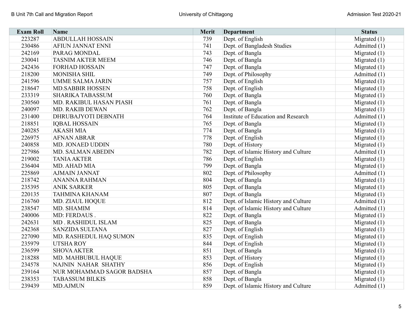| <b>Exam Roll</b> | <b>Name</b>               | <b>Merit</b> | <b>Department</b>                    | <b>Status</b>  |
|------------------|---------------------------|--------------|--------------------------------------|----------------|
| 223287           | <b>ABDULLAH HOSSAIN</b>   | 739          | Dept. of English                     | Migrated $(1)$ |
| 230486           | <b>AFIUN JANNAT ENNI</b>  | 741          | Dept. of Bangladesh Studies          | Admitted (1)   |
| 242169           | PARAG MONDAL              | 743          | Dept. of Bangla                      | Migrated $(1)$ |
| 230041           | <b>TASNIM AKTER MEEM</b>  | 746          | Dept. of Bangla                      | Migrated $(1)$ |
| 242436           | <b>FORHAD HOSSAIN</b>     | 747          | Dept. of Bangla                      | Migrated $(1)$ |
| 218200           | MONISHA SHIL              | 749          | Dept. of Philosophy                  | Admitted (1)   |
| 241596           | <b>UMME SALMA JARIN</b>   | 757          | Dept. of English                     | Migrated $(1)$ |
| 218647           | <b>MD.SABBIR HOSSEN</b>   | 758          | Dept. of English                     | Migrated $(1)$ |
| 233319           | <b>SHARIKA TABASSUM</b>   | 760          | Dept. of Bangla                      | Migrated (1)   |
| 230560           | MD. RAKIBUL HASAN PIASH   | 761          | Dept. of Bangla                      | Migrated $(1)$ |
| 240097           | MD. RAKIB DEWAN           | 762          | Dept. of Bangla                      | Migrated $(1)$ |
| 231400           | DHRUBAJYOTI DEBNATH       | 764          | Institute of Education and Research  | Admitted (1)   |
| 218851           | <b>IQBAL HOSSAIN</b>      | 765          | Dept. of Bangla                      | Migrated $(1)$ |
| 240285           | <b>AKASH MIA</b>          | 774          | Dept. of Bangla                      | Migrated $(1)$ |
| 226975           | <b>AFNAN ABRAR</b>        | 778          | Dept. of English                     | Migrated $(1)$ |
| 240858           | MD. JONAED UDDIN          | 780          | Dept. of History                     | Migrated $(1)$ |
| 227986           | MD. SALMAN ABEDIN         | 782          | Dept. of Islamic History and Culture | Admitted (1)   |
| 219002           | <b>TANIA AKTER</b>        | 786          | Dept. of English                     | Migrated $(1)$ |
| 236404           | MD. AHAD MIA              | 799          | Dept. of Bangla                      | Migrated $(1)$ |
| 225869           | <b>AJMAIN JANNAT</b>      | 802          | Dept. of Philosophy                  | Admitted (1)   |
| 218742           | <b>ANANNA RAHMAN</b>      | 804          | Dept. of Bangla                      | Migrated $(1)$ |
| 235395           | <b>ANIK SARKER</b>        | 805          | Dept. of Bangla                      | Migrated $(1)$ |
| 220135           | <b>TAHMINA KHANAM</b>     | 807          | Dept. of Bangla                      | Migrated $(1)$ |
| 216760           | MD. ZIAUL HOQUE           | 812          | Dept. of Islamic History and Culture | Admitted (1)   |
| 238547           | MD. SHAMIM                | 814          | Dept. of Islamic History and Culture | Admitted (1)   |
| 240006           | MD: FERDAUS.              | 822          | Dept. of Bangla                      | Migrated $(1)$ |
| 242631           | MD. RASHIDUL ISLAM        | 825          | Dept. of Bangla                      | Migrated $(1)$ |
| 242368           | SANZIDA SULTANA           | 827          | Dept. of English                     | Migrated $(1)$ |
| 227090           | MD. RASHEDUL HAQ SUMON    | 835          | Dept. of English                     | Migrated $(1)$ |
| 235979           | <b>UTSHA ROY</b>          | 844          | Dept. of English                     | Migrated $(1)$ |
| 236599           | <b>SHOVA AKTER</b>        | 851          | Dept. of Bangla                      | Migrated $(1)$ |
| 218288           | MD. MAHBUBUL HAQUE        | 853          | Dept. of History                     | Migrated $(1)$ |
| 234578           | NAJNIN NAHAR SHATHY       | 856          | Dept. of English                     | Migrated $(1)$ |
| 239164           | NUR MOHAMMAD SAGOR BADSHA | 857          | Dept. of Bangla                      | Migrated $(1)$ |
| 238353           | <b>TABASSUM BILKIS</b>    | 858          | Dept. of Bangla                      | Migrated $(1)$ |
| 239439           | <b>MD.AJMUN</b>           | 859          | Dept. of Islamic History and Culture | Admitted (1)   |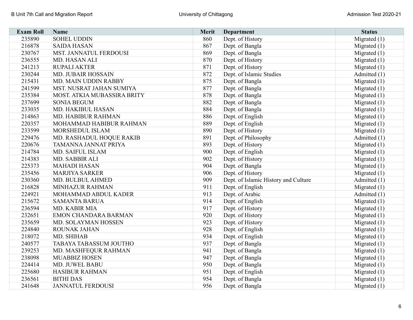| <b>Exam Roll</b> | <b>Name</b>                   | Merit | <b>Department</b>                    | <b>Status</b>  |
|------------------|-------------------------------|-------|--------------------------------------|----------------|
| 235890           | <b>SOHEL UDDIN</b>            | 860   | Dept. of History                     | Migrated $(1)$ |
| 216878           | <b>SAIDA HASAN</b>            | 867   | Dept. of Bangla                      | Migrated $(1)$ |
| 230767           | <b>MST. JANNATUL FERDOUSI</b> | 869   | Dept. of Bangla                      | Migrated $(1)$ |
| 236555           | MD. HASAN ALI                 | 870   | Dept. of History                     | Migrated $(1)$ |
| 241213           | <b>RUPALI AKTER</b>           | 871   | Dept. of History                     | Migrated $(1)$ |
| 230244           | <b>MD. JUBAIR HOSSAIN</b>     | 872   | Dept. of Islamic Studies             | Admitted (1)   |
| 215431           | MD. MAIN UDDIN RABBY          | 875   | Dept. of Bangla                      | Migrated $(1)$ |
| 241599           | MST. NUSRAT JAHAN SUMIYA      | 877   | Dept. of Bangla                      | Migrated $(1)$ |
| 235384           | MOST. ATKIA MUBASSIRA BRITY   | 878   | Dept. of Bangla                      | Migrated $(1)$ |
| 237699           | <b>SONIA BEGUM</b>            | 882   | Dept. of Bangla                      | Migrated $(1)$ |
| 233035           | MD. HAKIBUL HASAN             | 884   | Dept. of Bangla                      | Migrated $(1)$ |
| 214863           | MD. HABIBUR RAHMAN            | 886   | Dept. of English                     | Migrated $(1)$ |
| 220357           | MOHAMMAD HABIBUR RAHMAN       | 889   | Dept. of English                     | Migrated $(1)$ |
| 233599           | MORSHEDUL ISLAM               | 890   | Dept. of History                     | Migrated $(1)$ |
| 229476           | MD. RASHADUL HOQUE RAKIB      | 891   | Dept. of Philosophy                  | Admitted (1)   |
| 220676           | TAMANNA JANNAT PRIYA          | 893   | Dept. of History                     | Migrated $(1)$ |
| 214784           | MD. SAIFUL ISLAM              | 900   | Dept. of English                     | Migrated $(1)$ |
| 214383           | MD. SABBIR ALI                | 902   | Dept. of History                     | Migrated $(1)$ |
| 225373           | <b>MAHADI HASAN</b>           | 904   | Dept. of Bangla                      | Migrated $(1)$ |
| 235456           | <b>MARJIYA SARKER</b>         | 906   | Dept. of History                     | Migrated $(1)$ |
| 230360           | MD. BULBUL AHMED              | 909   | Dept. of Islamic History and Culture | Admitted (1)   |
| 216828           | <b>MINHAZUR RAHMAN</b>        | 911   | Dept. of English                     | Migrated $(1)$ |
| 224921           | MOHAMMAD ABDUL KADER          | 913   | Dept. of Arabic                      | Admitted (1)   |
| 215672           | <b>SAMANTA BARUA</b>          | 914   | Dept. of English                     | Migrated $(1)$ |
| 236594           | MD. KABIR MIA                 | 917   | Dept. of History                     | Migrated $(1)$ |
| 232651           | <b>EMON CHANDARA BARMAN</b>   | 920   | Dept. of History                     | Migrated $(1)$ |
| 235659           | MD. SOLAYMAN HOSSEN           | 923   | Dept. of History                     | Migrated $(1)$ |
| 224840           | <b>ROUNAK JAHAN</b>           | 928   | Dept. of English                     | Migrated $(1)$ |
| 218072           | MD. SHIHAB                    | 934   | Dept. of English                     | Migrated $(1)$ |
| 240577           | <b>TABAYA TABASSUM JOUTHO</b> | 937   | Dept. of Bangla                      | Migrated $(1)$ |
| 239253           | MD. MASHFEQUR RAHMAN          | 941   | Dept. of Bangla                      | Migrated $(1)$ |
| 238098           | MUABBIZ HOSEN                 | 947   | Dept. of Bangla                      | Migrated $(1)$ |
| 224414           | MD. JUWEL BABU                | 950   | Dept. of Bangla                      | Migrated $(1)$ |
| 225680           | <b>HASIBUR RAHMAN</b>         | 951   | Dept. of English                     | Migrated $(1)$ |
| 236561           | <b>BITHI DAS</b>              | 954   | Dept. of Bangla                      | Migrated $(1)$ |
| 241648           | <b>JANNATUL FERDOUSI</b>      | 956   | Dept. of Bangla                      | Migrated $(1)$ |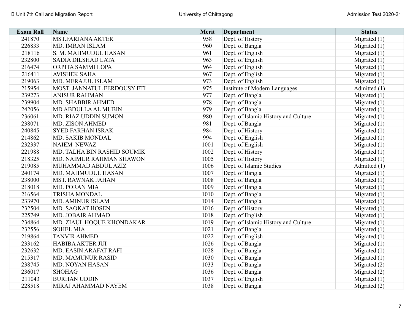| <b>Exam Roll</b> | <b>Name</b>                 | Merit | <b>Department</b>                    | <b>Status</b>  |
|------------------|-----------------------------|-------|--------------------------------------|----------------|
| 241870           | <b>MST.FARJANA AKTER</b>    | 958   | Dept. of History                     | Migrated (1)   |
| 226833           | MD. IMRAN ISLAM             | 960   | Dept. of Bangla                      | Migrated $(1)$ |
| 218116           | S. M. MAHMUDUL HASAN        | 961   | Dept. of English                     | Migrated $(1)$ |
| 232800           | SADIA DILSHAD LATA          | 963   | Dept. of English                     | Migrated $(1)$ |
| 216474           | ORPITA SAMMI LOPA           | 964   | Dept. of English                     | Migrated $(1)$ |
| 216411           | <b>AVISHEK SAHA</b>         | 967   | Dept. of English                     | Migrated $(1)$ |
| 219063           | MD. MERAJUL ISLAM           | 973   | Dept. of English                     | Migrated $(1)$ |
| 215954           | MOST. JANNATUL FERDOUSY ETI | 975   | Institute of Modern Languages        | Admitted (1)   |
| 239273           | <b>ANISUR RAHMAN</b>        | 977   | Dept. of Bangla                      | Migrated $(1)$ |
| 239904           | MD. SHABBIR AHMED           | 978   | Dept. of Bangla                      | Migrated $(1)$ |
| 242056           | <b>MD ABDULLA AL MUBIN</b>  | 979   | Dept. of Bangla                      | Migrated $(1)$ |
| 236061           | MD. RIAZ UDDIN SUMON        | 980   | Dept. of Islamic History and Culture | Migrated $(1)$ |
| 238071           | <b>MD. ZISON AHMED</b>      | 981   | Dept. of Bangla                      | Migrated $(1)$ |
| 240845           | <b>SYED FARHAN ISRAK</b>    | 984   | Dept. of History                     | Migrated $(1)$ |
| 214862           | <b>MD. SAKIB MONDAL</b>     | 994   | Dept. of English                     | Migrated $(1)$ |
| 232337           | NAIEM NEWAZ                 | 1001  | Dept. of English                     | Migrated $(1)$ |
| 221988           | MD. TALHA BIN RASHID SOUMIK | 1002  | Dept. of History                     | Migrated $(1)$ |
| 218325           | MD. NAIMUR RAHMAN SHAWON    | 1005  | Dept. of History                     | Migrated $(1)$ |
| 219085           | MUHAMMAD ABDUL AZIZ         | 1006  | Dept. of Islamic Studies             | Admitted (1)   |
| 240174           | MD. MAHMUDUL HASAN          | 1007  | Dept. of Bangla                      | Migrated $(1)$ |
| 238000           | <b>MST. RAWNAK JAHAN</b>    | 1008  | Dept. of Bangla                      | Migrated $(1)$ |
| 218018           | MD. PORAN MIA               | 1009  | Dept. of Bangla                      | Migrated $(1)$ |
| 216564           | <b>TRISHA MONDAL</b>        | 1010  | Dept. of Bangla                      | Migrated $(1)$ |
| 233970           | <b>MD. AMINUR ISLAM</b>     | 1014  | Dept. of Bangla                      | Migrated (1)   |
| 232504           | MD. SAOKAT HOSEN            | 1016  | Dept. of History                     | Migrated $(1)$ |
| 225749           | <b>MD. JOBAIR AHMAD</b>     | 1018  | Dept. of English                     | Migrated $(1)$ |
| 234864           | MD. ZIAUL HOQUE KHONDAKAR   | 1019  | Dept. of Islamic History and Culture | Migrated $(1)$ |
| 232556           | <b>SOHEL MIA</b>            | 1021  | Dept. of Bangla                      | Migrated $(1)$ |
| 219864           | <b>TANVIR AHMED</b>         | 1022  | Dept. of English                     | Migrated $(1)$ |
| 233162           | <b>HABIBA AKTER JUI</b>     | 1026  | Dept. of Bangla                      | Migrated $(1)$ |
| 232632           | MD. EASIN ARAFAT RAFI       | 1028  | Dept. of Bangla                      | Migrated $(1)$ |
| 215317           | <b>MD. MAMUNUR RASID</b>    | 1030  | Dept. of Bangla                      | Migrated $(1)$ |
| 238745           | MD. NOYAN HASAN             | 1033  | Dept. of Bangla                      | Migrated (2)   |
| 236017           | <b>SHOHAG</b>               | 1036  | Dept. of Bangla                      | Migrated (2)   |
| 211043           | <b>BURHAN UDDIN</b>         | 1037  | Dept. of English                     | Migrated $(1)$ |
| 228518           | MIRAJ AHAMMAD NAYEM         | 1038  | Dept. of Bangla                      | Migrated $(2)$ |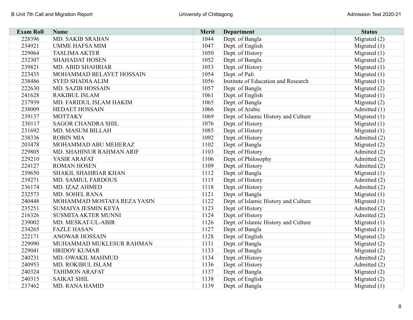| <b>Exam Roll</b> | <b>Name</b>                 | Merit | <b>Department</b>                    | <b>Status</b>  |
|------------------|-----------------------------|-------|--------------------------------------|----------------|
| 228396           | MD. SAKIB SRABAN            | 1044  | Dept. of Bangla                      | Migrated (2)   |
| 234921           | <b>UMME HAFSA MIM</b>       | 1047  | Dept. of English                     | Migrated $(1)$ |
| 229064           | <b>TASLIMA AKTER</b>        | 1050  | Dept. of History                     | Migrated $(1)$ |
| 232307           | <b>SHAHADAT HOSEN</b>       | 1052  | Dept. of Bangla                      | Migrated (2)   |
| 239821           | <b>MD. ABID SHAHRIAR</b>    | 1053  | Dept. of History                     | Migrated $(1)$ |
| 223435           | MOHAMMAD BELAYET HOSSAIN    | 1054  | Dept. of Pali                        | Migrated $(1)$ |
| 238486           | <b>SYED SHADIA ALIM</b>     | 1056  | Institute of Education and Research  | Migrated $(1)$ |
| 222630           | MD. SAZIB HOSSAIN           | 1057  | Dept. of Bangla                      | Migrated $(2)$ |
| 241628           | <b>RAKIBUL ISLAM</b>        | 1061  | Dept. of English                     | Migrated $(1)$ |
| 237939           | MD. FARIDUL ISLAM HAKIM     | 1065  | Dept. of Bangla                      | Migrated $(2)$ |
| 238009           | <b>HEDAET HOSSAIN</b>       | 1066  | Dept. of Arabic                      | Admitted (1)   |
| 239137           | <b>MOTTAKY</b>              | 1069  | Dept. of Islamic History and Culture | Migrated $(1)$ |
| 230117           | <b>SAGOR CHANDRA SHIL</b>   | 1076  | Dept. of History                     | Migrated $(1)$ |
| 231692           | MD. MASUM BILLAH            | 1085  | Dept. of History                     | Migrated $(1)$ |
| 238336           | <b>ROBIN MIA</b>            | 1092  | Dept. of History                     | Admitted (2)   |
| 203478           | MOHAMMAD ABU MEHERAZ        | 1102  | Dept. of Bangla                      | Migrated $(2)$ |
| 229805           | MD. SHAHINUR RAHMAN ARIF    | 1103  | Dept. of History                     | Admitted (2)   |
| 229210           | YASIR ARAFAT                | 1106  | Dept. of Philosophy                  | Admitted (2)   |
| 224127           | <b>ROMAN HOSEN</b>          | 1109  | Dept. of History                     | Admitted (2)   |
| 239650           | <b>SHAKIL SHAHRIAR KHAN</b> | 1112  | Dept. of Bangla                      | Migrated $(1)$ |
| 239271           | <b>MD. SAMIUL FARDOUS</b>   | 1115  | Dept. of History                     | Admitted (2)   |
| 236174           | MD. IZAZ AHMED              | 1118  | Dept. of History                     | Admitted (2)   |
| 232573           | MD. SOHEL RANA              | 1121  | Dept. of Bangla                      | Migrated (1)   |
| 240448           | MOHAMMAD MOSTAFA REZA YASIN | 1122  | Dept. of Islamic History and Culture | Migrated $(1)$ |
| 235251           | <b>SUMAIYA JESMIN KEYA</b>  | 1123  | Dept. of History                     | Admitted (2)   |
| 216326           | <b>SUSMITA AKTER MUNNI</b>  | 1124  | Dept. of History                     | Admitted (2)   |
| 239002           | MD. MESKAT-UL-ABIR          | 1126  | Dept. of Islamic History and Culture | Migrated $(1)$ |
| 234265           | <b>FAZLE HASAN</b>          | 1127  | Dept. of Bangla                      | Migrated (1)   |
| 222171           | <b>ANOWAR HOSSAIN</b>       | 1128  | Dept. of English                     | Migrated (2)   |
| 229090           | MUHAMMAD MUKLESUR RAHMAN    | 1131  | Dept. of Bangla                      | Migrated $(2)$ |
| 229041           | <b>HRIDOY KUMAR</b>         | 1133  | Dept. of Bangla                      | Migrated (2)   |
| 240231           | MD. OWAKIL MAHMUD           | 1134  | Dept. of History                     | Admitted (2)   |
| 240953           | MD. ROKIBUL ISLAM           | 1136  | Dept. of History                     | Admitted (2)   |
| 240324           | <b>TAHIMON ARAFAT</b>       | 1137  | Dept. of Bangla                      | Migrated $(2)$ |
| 240315           | <b>SAIKAT SHIL</b>          | 1138  | Dept. of English                     | Migrated (2)   |
| 237462           | MD. RANA HAMID              | 1139  | Dept. of Bangla                      | Migrated $(1)$ |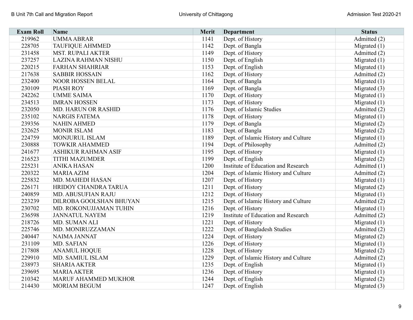| <b>Exam Roll</b> | Name                        | <b>Merit</b> | <b>Department</b>                    | <b>Status</b>  |
|------------------|-----------------------------|--------------|--------------------------------------|----------------|
| 219962           | <b>UMMA ABRAR</b>           | 1141         | Dept. of History                     | Admitted (2)   |
| 228705           | <b>TAUFIQUE AHMMED</b>      | 1142         | Dept. of Bangla                      | Migrated $(1)$ |
| 231458           | <b>MST. RUPALI AKTER</b>    | 1149         | Dept. of History                     | Admitted (2)   |
| 237257           | <b>LAZINA RAHMAN NISHU</b>  | 1150         | Dept. of English                     | Migrated $(1)$ |
| 220215           | <b>FARHAN SHAHRIAR</b>      | 1153         | Dept. of English                     | Migrated $(1)$ |
| 217638           | <b>SABBIR HOSSAIN</b>       | 1162         | Dept. of History                     | Admitted (2)   |
| 232400           | <b>NOOR HOSSEN BELAL</b>    | 1164         | Dept. of Bangla                      | Migrated $(1)$ |
| 230109           | <b>PIASH ROY</b>            | 1169         | Dept. of Bangla                      | Migrated $(3)$ |
| 242262           | <b>UMME SAIMA</b>           | 1170         | Dept. of History                     | Migrated $(1)$ |
| 234513           | <b>IMRAN HOSSEN</b>         | 1173         | Dept. of History                     | Migrated $(1)$ |
| 232050           | <b>MD. HARUN OR RASHID</b>  | 1176         | Dept. of Islamic Studies             | Admitted (2)   |
| 235102           | <b>NARGIS FATEMA</b>        | 1178         | Dept. of History                     | Migrated $(1)$ |
| 239356           | <b>NAHIN AHMED</b>          | 1179         | Dept. of Bangla                      | Migrated $(2)$ |
| 232625           | <b>MONIR ISLAM</b>          | 1183         | Dept. of Bangla                      | Migrated (2)   |
| 224759           | <b>MONJURUL ISLAM</b>       | 1189         | Dept. of Islamic History and Culture | Migrated $(1)$ |
| 230888           | <b>TOWKIR AHAMMED</b>       | 1194         | Dept. of Philosophy                  | Admitted (2)   |
| 241677           | <b>ASHIKUR RAHMAN ASIF</b>  | 1195         | Dept. of History                     | Migrated $(1)$ |
| 216523           | <b>TITHI MAZUMDER</b>       | 1199         | Dept. of English                     | Migrated $(2)$ |
| 225231           | <b>ANIKA HASAN</b>          | 1200         | Institute of Education and Research  | Admitted (1)   |
| 220322           | <b>MARIA AZIM</b>           | 1204         | Dept. of Islamic History and Culture | Admitted (2)   |
| 225832           | <b>MD. MAHEDI HASAN</b>     | 1207         | Dept. of History                     | Migrated $(1)$ |
| 226171           | HRIDOY CHANDRA TARUA        | 1211         | Dept. of History                     | Migrated (2)   |
| 240859           | MD. ABUSUFIAN RAJU          | 1212         | Dept. of History                     | Migrated $(1)$ |
| 223239           | DILROBA GOOLSHAN BHUYAN     | 1215         | Dept. of Islamic History and Culture | Admitted (2)   |
| 230702           | MD. ROKONUJJAMAN TUHIN      | 1216         | Dept. of History                     | Migrated $(1)$ |
| 236598           | <b>JANNATUL NAYEM</b>       | 1219         | Institute of Education and Research  | Admitted (2)   |
| 218726           | MD. SUMAN ALI               | 1221         | Dept. of History                     | Migrated $(1)$ |
| 225746           | MD. MONIRUZZAMAN            | 1222         | Dept. of Bangladesh Studies          | Admitted (2)   |
| 240447           | NAIMA JANNAT                | 1224         | Dept. of History                     | Migrated (2)   |
| 231109           | MD. SAFIAN                  | 1226         | Dept. of History                     | Migrated $(1)$ |
| 217808           | <b>ANAMUL HOQUE</b>         | 1228         | Dept. of History                     | Migrated (2)   |
| 229910           | MD. SAMIUL ISLAM            | 1229         | Dept. of Islamic History and Culture | Admitted (2)   |
| 238973           | <b>SHARIA AKTER</b>         | 1235         | Dept. of English                     | Migrated $(1)$ |
| 239695           | <b>MARIA AKTER</b>          | 1236         | Dept. of History                     | Migrated $(1)$ |
| 210342           | <b>MARUF AHAMMED MUKHOR</b> | 1244         | Dept. of English                     | Migrated $(2)$ |
| 214430           | <b>MORIAM BEGUM</b>         | 1247         | Dept. of English                     | Migrated $(3)$ |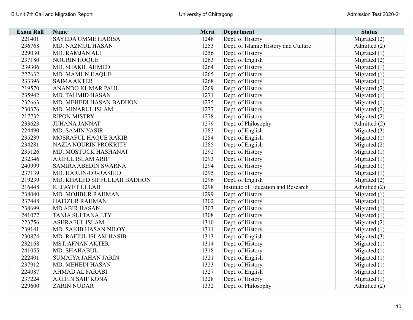| <b>Exam Roll</b> | Name                        | <b>Merit</b> | Department                           | <b>Status</b>  |
|------------------|-----------------------------|--------------|--------------------------------------|----------------|
| 221401           | <b>SAYEDA UMME HADISA</b>   | 1248         | Dept. of History                     | Migrated $(2)$ |
| 236768           | MD. NAZMUL HASAN            | 1253         | Dept. of Islamic History and Culture | Admitted (2)   |
| 229030           | MD. RAMJAN ALI              | 1256         | Dept. of History                     | Migrated $(1)$ |
| 237180           | <b>NOURIN HOQUE</b>         | 1263         | Dept. of English                     | Migrated $(2)$ |
| 239306           | MD. SHAKIL AHMED            | 1264         | Dept. of History                     | Migrated $(1)$ |
| 227632           | MD. MAMUN HAQUE             | 1265         | Dept. of History                     | Migrated $(1)$ |
| 233396           | <b>SAIMA AKTER</b>          | 1268         | Dept. of History                     | Migrated $(1)$ |
| 219570           | ANANDO KUMAR PAUL           | 1269         | Dept. of History                     | Migrated (2)   |
| 235942           | MD. TAHMID HASAN            | 1271         | Dept. of History                     | Migrated $(1)$ |
| 232663           | MD. MEHEDI HASAN BADHON     | 1275         | Dept. of History                     | Migrated $(1)$ |
| 230376           | MD. MINARUL ISLAM           | 1277         | Dept. of History                     | Migrated (2)   |
| 217732           | <b>RIPON MISTRY</b>         | 1278         | Dept. of History                     | Migrated $(2)$ |
| 233623           | <b>JUHANA JANNAT</b>        | 1279         | Dept. of Philosophy                  | Admitted (2)   |
| 224490           | <b>MD. SAMIN YASIR</b>      | 1283         | Dept. of English                     | Migrated $(3)$ |
| 235239           | <b>MOSRAFUL HAQUE RAKIB</b> | 1284         | Dept. of English                     | Migrated $(1)$ |
| 234281           | NAZIA NOURIN PROKRITY       | 1285         | Dept. of English                     | Migrated (2)   |
| 235126           | MD. MOSTUCK HASHANAT        | 1292         | Dept. of History                     | Migrated $(1)$ |
| 232346           | <b>ARIFUL ISLAM ARIF</b>    | 1293         | Dept. of History                     | Migrated $(1)$ |
| 240999           | SAMIRA ABEDIN SWARNA        | 1294         | Dept. of History                     | Migrated $(1)$ |
| 237139           | MD. HARUN-OR-RASHID         | 1295         | Dept. of History                     | Migrated $(1)$ |
| 219239           | MD. KHALED SIFFULLAH BADHON | 1296         | Dept. of English                     | Migrated $(2)$ |
| 216448           | <b>KEFAYET ULLAH</b>        | 1298         | Institute of Education and Research  | Admitted (2)   |
| 238040           | MD. MOJIBUR RAHMAN          | 1299         | Dept. of History                     | Migrated $(1)$ |
| 237448           | <b>HAFIZUR RAHMAN</b>       | 1302         | Dept. of History                     | Migrated $(1)$ |
| 238699           | <b>MD ABIR HASAN</b>        | 1303         | Dept. of History                     | Migrated $(1)$ |
| 241077           | <b>TANIA SULTANA ETY</b>    | 1308         | Dept. of History                     | Migrated $(1)$ |
| 223756           | <b>ASHRAFUL ISLAM</b>       | 1310         | Dept. of History                     | Migrated (2)   |
| 239141           | MD. SAKIB HASAN NILOY       | 1311         | Dept. of History                     | Migrated $(1)$ |
| 230874           | MD. RAFIUL ISLAM HASIB      | 1313         | Dept. of English                     | Migrated (3)   |
| 232168           | <b>MST. AFNAN AKTER</b>     | 1314         | Dept. of History                     | Migrated $(1)$ |
| 241055           | MD. SHAHABUL                | 1318         | Dept. of History                     | Migrated $(1)$ |
| 222401           | <b>SUMAIYA JAHAN JARIN</b>  | 1321         | Dept. of English                     | Migrated $(1)$ |
| 237912           | MD. MEHEDI HASAN            | 1323         | Dept. of History                     | Migrated $(1)$ |
| 224087           | <b>AHMAD AL FARABI</b>      | 1327         | Dept. of English                     | Migrated $(1)$ |
| 237224           | <b>AREFIN SAIF KONA</b>     | 1328         | Dept. of History                     | Migrated $(1)$ |
| 229600           | <b>ZARIN NUDAR</b>          | 1332         | Dept. of Philosophy                  | Admitted (2)   |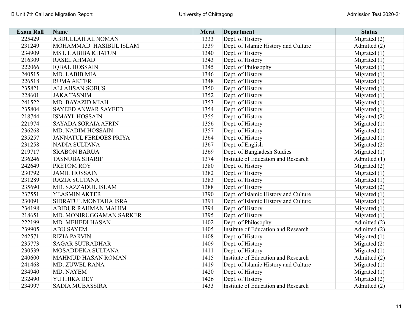| <b>Exam Roll</b> | <b>Name</b>                   | Merit | <b>Department</b>                    | <b>Status</b>  |
|------------------|-------------------------------|-------|--------------------------------------|----------------|
| 225429           | ABDULLAH AL NOMAN             | 1333  | Dept. of History                     | Migrated (2)   |
| 231249           | MOHAMMAD HASIBUL ISLAM        | 1339  | Dept. of Islamic History and Culture | Admitted (2)   |
| 234909           | <b>MST. HABIBA KHATUN</b>     | 1340  | Dept. of History                     | Migrated $(1)$ |
| 216309           | <b>RASEL AHMAD</b>            | 1343  | Dept. of History                     | Migrated $(1)$ |
| 222066           | <b>IQBAL HOSSAIN</b>          | 1345  | Dept. of Philosophy                  | Migrated $(1)$ |
| 240515           | MD. LABIB MIA                 | 1346  | Dept. of History                     | Migrated $(1)$ |
| 226518           | <b>RUMA AKTER</b>             | 1348  | Dept. of History                     | Migrated $(1)$ |
| 235821           | <b>ALI AHSAN SOBUS</b>        | 1350  | Dept. of History                     | Migrated $(1)$ |
| 228601           | <b>JAKA TASNIM</b>            | 1352  | Dept. of History                     | Migrated $(1)$ |
| 241522           | MD. BAYAZID MIAH              | 1353  | Dept. of History                     | Migrated $(1)$ |
| 235804           | <b>SAYEED ANWAR SAYEED</b>    | 1354  | Dept. of History                     | Migrated $(1)$ |
| 218744           | <b>ISMAYL HOSSAIN</b>         | 1355  | Dept. of History                     | Migrated (2)   |
| 221974           | SAYADA SORAIA AFRIN           | 1356  | Dept. of History                     | Migrated $(1)$ |
| 236268           | <b>MD. NADIM HOSSAIN</b>      | 1357  | Dept. of History                     | Migrated $(1)$ |
| 235257           | <b>JANNATUL FERDOES PRIYA</b> | 1364  | Dept. of History                     | Migrated $(1)$ |
| 231258           | NADIA SULTANA                 | 1367  | Dept. of English                     | Migrated $(2)$ |
| 219717           | <b>SRABON BARUA</b>           | 1369  | Dept. of Bangladesh Studies          | Migrated $(1)$ |
| 236246           | <b>TASNUBA SHARIF</b>         | 1374  | Institute of Education and Research  | Admitted (1)   |
| 242649           | PRETOM ROY                    | 1380  | Dept. of History                     | Migrated $(2)$ |
| 230792           | <b>JAMIL HOSSAIN</b>          | 1382  | Dept. of History                     | Migrated $(1)$ |
| 231289           | <b>RAZIA SULTANA</b>          | 1383  | Dept. of History                     | Migrated $(1)$ |
| 235690           | MD. SAZZADUL ISLAM            | 1388  | Dept. of History                     | Migrated (2)   |
| 237551           | YEASMIN AKTER                 | 1390  | Dept. of Islamic History and Culture | Migrated $(1)$ |
| 230091           | SIDRATUL MONTAHA ISRA         | 1391  | Dept. of Islamic History and Culture | Migrated (1)   |
| 234198           | ABIDUR RAHMAN MAHIM           | 1394  | Dept. of History                     | Migrated $(1)$ |
| 218651           | MD. MONIRUGGAMAN SARKER       | 1395  | Dept. of History                     | Migrated $(1)$ |
| 222199           | MD. MEHEDI HASAN              | 1402  | Dept. of Philosophy                  | Admitted (2)   |
| 239905           | <b>ABU SAYEM</b>              | 1405  | Institute of Education and Research  | Admitted (2)   |
| 242571           | <b>RIZIA PARVIN</b>           | 1408  | Dept. of History                     | Migrated $(1)$ |
| 235773           | <b>SAGAR SUTRADHAR</b>        | 1409  | Dept. of History                     | Migrated (2)   |
| 230539           | MOSADDEKA SULTANA             | 1411  | Dept. of History                     | Migrated $(1)$ |
| 240600           | <b>MAHMUD HASAN ROMAN</b>     | 1415  | Institute of Education and Research  | Admitted (2)   |
| 241468           | MD. ZUWEL RANA                | 1419  | Dept. of Islamic History and Culture | Migrated $(1)$ |
| 234940           | MD. NAYEM                     | 1420  | Dept. of History                     | Migrated $(1)$ |
| 232490           | YUTHIKA DEY                   | 1426  | Dept. of History                     | Migrated (2)   |
| 234997           | <b>SADIA MUBASSIRA</b>        | 1433  | Institute of Education and Research  | Admitted (2)   |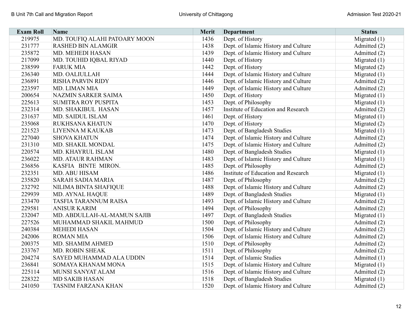| <b>Exam Roll</b> | Name                          | Merit | <b>Department</b>                    | <b>Status</b>  |
|------------------|-------------------------------|-------|--------------------------------------|----------------|
| 219975           | MD. TOUFIQ ALAHI PATOARY MOON | 1436  | Dept. of History                     | Migrated (1)   |
| 231777           | <b>RASHED BIN ALAMGIR</b>     | 1438  | Dept. of Islamic History and Culture | Admitted (2)   |
| 235872           | MD. MEHEDI HASAN              | 1439  | Dept. of Islamic History and Culture | Admitted (2)   |
| 217099           | MD. TOUHID IQBAL RIYAD        | 1440  | Dept. of History                     | Migrated $(1)$ |
| 238599           | <b>FARUK MIA</b>              | 1442  | Dept. of History                     | Migrated $(2)$ |
| 236340           | MD. OALIULLAH                 | 1444  | Dept. of Islamic History and Culture | Migrated $(1)$ |
| 236891           | <b>RISHA PARVIN RIDY</b>      | 1446  | Dept. of Islamic History and Culture | Admitted (2)   |
| 223597           | MD. LIMAN MIA                 | 1449  | Dept. of Islamic History and Culture | Admitted (2)   |
| 200654           | <b>NAZMIN SARKER SAIMA</b>    | 1450  | Dept. of History                     | Migrated $(1)$ |
| 225613           | <b>SUMITRA ROY PUSPITA</b>    | 1453  | Dept. of Philosophy                  | Migrated $(1)$ |
| 232314           | MD. SHAKIBUL HASAN            | 1457  | Institute of Education and Research  | Admitted (2)   |
| 231637           | <b>MD. SAIDUL ISLAM</b>       | 1461  | Dept. of History                     | Migrated $(1)$ |
| 235068           | RUKHSANA KHATUN               | 1470  | Dept. of History                     | Migrated (2)   |
| 221523           | <b>LIYENNA M KAUKAB</b>       | 1473  | Dept. of Bangladesh Studies          | Migrated $(1)$ |
| 227040           | <b>SHOVA KHATUN</b>           | 1474  | Dept. of Islamic History and Culture | Admitted (2)   |
| 231310           | MD. SHAKIL MONDAL             | 1475  | Dept. of Islamic History and Culture | Admitted (2)   |
| 220574           | MD. KHAYRUL ISLAM             | 1480  | Dept. of Bangladesh Studies          | Migrated $(1)$ |
| 236022           | <b>MD. ATAUR RAHMAN</b>       | 1483  | Dept. of Islamic History and Culture | Migrated $(1)$ |
| 236856           | KASFIA BINTE MIRON.           | 1485  | Dept. of Philosophy                  | Admitted (2)   |
| 232351           | <b>MD. ABU HISAM</b>          | 1486  | Institute of Education and Research  | Migrated $(1)$ |
| 235820           | <b>SARAH SADIA MARIA</b>      | 1487  | Dept. of Philosophy                  | Admitted (2)   |
| 232792           | NILIMA BINTA SHAFIQUE         | 1488  | Dept. of Islamic History and Culture | Admitted (2)   |
| 229939           | <b>MD. AYNAL HAQUE</b>        | 1489  | Dept. of Bangladesh Studies          | Migrated $(1)$ |
| 233470           | <b>TASFIA TARANNUM RAISA</b>  | 1493  | Dept. of Islamic History and Culture | Admitted (2)   |
| 229581           | <b>ANISUR KARIM</b>           | 1494  | Dept. of Philosophy                  | Admitted (2)   |
| 232047           | MD. ABDULLAH-AL-MAMUN SAJIB   | 1497  | Dept. of Bangladesh Studies          | Migrated $(1)$ |
| 227526           | MUHAMMAD SHAKIL MAHMUD        | 1500  | Dept. of Philosophy                  | Admitted (2)   |
| 240384           | <b>MEHEDI HASAN</b>           | 1504  | Dept. of Islamic History and Culture | Admitted (2)   |
| 242006           | <b>ROMAN MIA</b>              | 1506  | Dept. of Islamic History and Culture | Admitted (2)   |
| 200375           | MD. SHAMIM AHMED              | 1510  | Dept. of Philosophy                  | Admitted (2)   |
| 233767           | MD. ROBIN SHEAK               | 1511  | Dept. of Philosophy                  | Admitted (2)   |
| 204274           | SAYED MUHAMMAD ALA UDDIN      | 1514  | Dept. of Islamic Studies             | Admitted (1)   |
| 236841           | SOMAYA KHANAM MONA            | 1515  | Dept. of Islamic History and Culture | Migrated $(1)$ |
| 225114           | MUNSI SANYAT ALAM             | 1516  | Dept. of Islamic History and Culture | Admitted (2)   |
| 228322           | <b>MD SAKIB HASAN</b>         | 1518  | Dept. of Bangladesh Studies          | Migrated $(1)$ |
| 241050           | <b>TASNIM FARZANA KHAN</b>    | 1520  | Dept. of Islamic History and Culture | Admitted (2)   |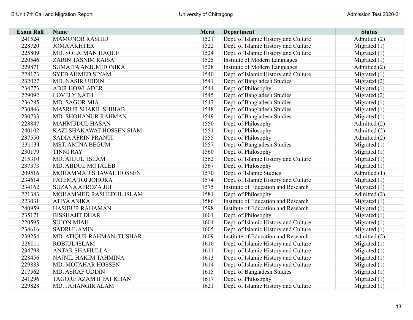| <b>Exam Roll</b> | <b>Name</b>                   | Merit | <b>Department</b>                    | <b>Status</b>  |
|------------------|-------------------------------|-------|--------------------------------------|----------------|
| 241524           | <b>MAMUNOR RASHID</b>         | 1521  | Dept. of Islamic History and Culture | Admitted (2)   |
| 228720           | <b>JOMA AKHTER</b>            | 1522  | Dept. of Islamic History and Culture | Migrated $(1)$ |
| 225809           | MD. SOLAIMAN HAQUE            | 1524  | Dept. of Islamic History and Culture | Migrated $(1)$ |
| 220546           | ZARIN TASNIM RAISA            | 1525  | Institute of Modern Languages        | Migrated $(1)$ |
| 229871           | SUMAITA ANJUM TONIKA          | 1528  | Institute of Modern Languages        | Admitted (2)   |
| 228173           | <b>SYEB AHMED SIYAM</b>       | 1540  | Dept. of Islamic History and Culture | Migrated $(1)$ |
| 232027           | MD. NASIR UDDIN               | 1541  | Dept. of Bangladesh Studies          | Migrated (2)   |
| 234773           | <b>ABIR HOWLADER</b>          | 1544  | Dept. of Philosophy                  | Migrated $(1)$ |
| 229092           | <b>LOVELY NATH</b>            | 1545  | Dept. of Bangladesh Studies          | Migrated $(2)$ |
| 236285           | MD. SAGOR MIA                 | 1547  | Dept. of Bangladesh Studies          | Migrated $(1)$ |
| 230846           | <b>MASRUR SHAKIL SHIHAB</b>   | 1548  | Dept. of Bangladesh Studies          | Migrated $(1)$ |
| 230733           | MD. SHOHANUR RAHMAN           | 1549  | Dept. of Bangladesh Studies          | Migrated $(1)$ |
| 228847           | <b>MAHMUDUL HASAN</b>         | 1550  | Dept. of Philosophy                  | Admitted (2)   |
| 240102           | KAZI SHAKAWAT HOSSEN SIAM     | 1551  | Dept. of Philosophy                  | Admitted (2)   |
| 237550           | <b>SADIA AFRIN PRANTI</b>     | 1555  | Dept. of Philosophy                  | Admitted (2)   |
| 231134           | MST. AMINA BEGUM              | 1557  | Dept. of Bangladesh Studies          | Migrated $(1)$ |
| 230179           | <b>TINNI RAY</b>              | 1560  | Dept. of Philosophy                  | Migrated $(1)$ |
| 215310           | MD. AJIJUL ISLAM              | 1562  | Dept. of Islamic History and Culture | Migrated $(1)$ |
| 237373           | MD. ABDUL MOTALEB             | 1567  | Dept. of Philosophy                  | Migrated $(1)$ |
| 209516           | MOHAMMAD SHAWAL HOSSEN        | 1570  | Dept. of Islamic Studies             | Admitted (1)   |
| 234614           | <b>FATEMA TOJ JOHORA</b>      | 1574  | Dept. of Islamic History and Culture | Migrated (1)   |
| 234162           | <b>SUZANA AFROZA JUI</b>      | 1575  | Institute of Education and Research  | Migrated $(1)$ |
| 221383           | MOHAMMED RASHEDUL ISLAM       | 1581  | Dept. of Philosophy                  | Admitted (2)   |
| 223031           | <b>ATIYA ANIKA</b>            | 1586  | Institute of Education and Research  | Migrated $(1)$ |
| 240959           | <b>HASIBUR RAHAMAN</b>        | 1598  | Institute of Education and Research  | Migrated $(1)$ |
| 235171           | <b>BISSHAJIT DHAR</b>         | 1601  | Dept. of Philosophy                  | Migrated $(1)$ |
| 220595           | <b>SUJON MIAH</b>             | 1604  | Dept. of Islamic History and Culture | Migrated $(1)$ |
| 234616           | <b>SADRUL AMIN</b>            | 1605  | Dept. of Islamic History and Culture | Migrated $(1)$ |
| 239254           | MD. ATIQUR RAHMAN TUSHAR      | 1609  | Institute of Education and Research  | Admitted (2)   |
| 226011           | <b>ROBIUL ISLAM</b>           | 1610  | Dept. of Islamic History and Culture | Migrated $(1)$ |
| 234798           | <b>ANTAR SHAFIULLA</b>        | 1611  | Dept. of Islamic History and Culture | Migrated $(1)$ |
| 228456           | NAJNIL HAKIM TAHMINA          | 1613  | Dept. of Islamic History and Culture | Migrated $(1)$ |
| 229883           | MD. MOTAHAR HOSSEN            | 1614  | Dept. of Islamic History and Culture | Migrated $(1)$ |
| 217562           | <b>MD. ASRAF UDDIN</b>        | 1615  | Dept. of Bangladesh Studies          | Migrated $(1)$ |
| 241296           | <b>TAGORE AZAM IFFAT KHAN</b> | 1617  | Dept. of Philosophy                  | Migrated $(1)$ |
| 229828           | MD. JAHANGIR ALAM             | 1621  | Dept. of Islamic History and Culture | Migrated $(1)$ |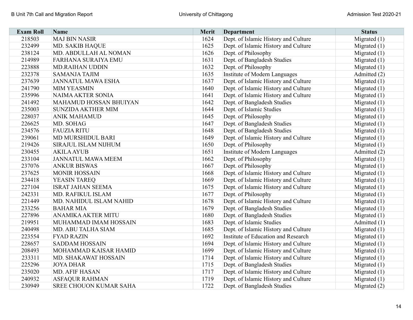| <b>Exam Roll</b> | Name                          | Merit | <b>Department</b>                    | <b>Status</b>  |
|------------------|-------------------------------|-------|--------------------------------------|----------------|
| 218503           | <b>MAJ BIN NASIR</b>          | 1624  | Dept. of Islamic History and Culture | Migrated (1)   |
| 232499           | <b>MD. SAKIB HAQUE</b>        | 1625  | Dept. of Islamic History and Culture | Migrated $(1)$ |
| 238124           | MD. ABDULLAH AL NOMAN         | 1626  | Dept. of Philosophy                  | Migrated $(1)$ |
| 214989           | <b>FARHANA SURAIYA EMU</b>    | 1631  | Dept. of Bangladesh Studies          | Migrated $(1)$ |
| 223888           | <b>MD.RAIHAN UDDIN</b>        | 1632  | Dept. of Philosophy                  | Migrated $(1)$ |
| 232378           | <b>SAMANJA TAJIM</b>          | 1635  | Institute of Modern Languages        | Admitted (2)   |
| 237639           | <b>JANNATUL MAWA ESHA</b>     | 1637  | Dept. of Islamic History and Culture | Migrated $(1)$ |
| 241790           | <b>MIM YEASMIN</b>            | 1640  | Dept. of Islamic History and Culture | Migrated $(1)$ |
| 235996           | <b>NAIMA AKTER SONIA</b>      | 1641  | Dept. of Islamic History and Culture | Migrated $(1)$ |
| 241492           | <b>MAHAMUD HOSSAN BHUIYAN</b> | 1642  | Dept. of Bangladesh Studies          | Migrated $(1)$ |
| 235003           | <b>SUNZIDA AKTHER MIM</b>     | 1644  | Dept. of Islamic Studies             | Migrated $(1)$ |
| 228037           | <b>ANIK MAHAMUD</b>           | 1645  | Dept. of Philosophy                  | Migrated $(1)$ |
| 226625           | MD. SOHAG                     | 1647  | Dept. of Bangladesh Studies          | Migrated $(1)$ |
| 234576           | <b>FAUZIA RITU</b>            | 1648  | Dept. of Bangladesh Studies          | Migrated $(1)$ |
| 239061           | MD MURSHIDUL BARI             | 1649  | Dept. of Islamic History and Culture | Migrated $(1)$ |
| 219426           | <b>SIRAJUL ISLAM NIJHUM</b>   | 1650  | Dept. of Philosophy                  | Migrated $(1)$ |
| 230455           | <b>AKILA AYUB</b>             | 1651  | Institute of Modern Languages        | Admitted (2)   |
| 233104           | <b>JANNATUL MAWA MEEM</b>     | 1662  | Dept. of Philosophy                  | Migrated $(1)$ |
| 237076           | <b>ANKUR BISWAS</b>           | 1667  | Dept. of Philosophy                  | Migrated $(1)$ |
| 237625           | <b>MONIR HOSSAIN</b>          | 1668  | Dept. of Islamic History and Culture | Migrated $(1)$ |
| 234418           | <b>YEASIN TAREQ</b>           | 1669  | Dept. of Islamic History and Culture | Migrated $(1)$ |
| 227104           | <b>ISRAT JAHAN SEEMA</b>      | 1675  | Dept. of Islamic History and Culture | Migrated $(1)$ |
| 242331           | MD. RAFIKUL ISLAM             | 1677  | Dept. of Philosophy                  | Migrated $(1)$ |
| 221449           | MD. NAHIDUL ISLAM NAHID       | 1678  | Dept. of Islamic History and Culture | Migrated $(1)$ |
| 233256           | <b>BAHAR MIA</b>              | 1679  | Dept. of Bangladesh Studies          | Migrated $(1)$ |
| 227896           | <b>ANAMIKA AKTER MITU</b>     | 1680  | Dept. of Bangladesh Studies          | Migrated $(1)$ |
| 219951           | MUHAMMAD IMAM HOSSAIN         | 1683  | Dept. of Islamic Studies             | Admitted (1)   |
| 240498           | MD. ABU TALHA SIAM            | 1685  | Dept. of Islamic History and Culture | Migrated $(1)$ |
| 223554           | <b>FYAD RAZIN</b>             | 1692  | Institute of Education and Research  | Migrated $(1)$ |
| 228657           | <b>SADDAM HOSSAIN</b>         | 1694  | Dept. of Islamic History and Culture | Migrated (1)   |
| 208493           | MOHAMMAD KAISAR HAMID         | 1699  | Dept. of Islamic History and Culture | Migrated $(1)$ |
| 233311           | MD. SHAKAWAT HOSSAIN          | 1714  | Dept. of Islamic History and Culture | Migrated $(1)$ |
| 225296           | <b>JOYA DHAR</b>              | 1715  | Dept. of Bangladesh Studies          | Migrated $(1)$ |
| 235020           | MD. AFIF HASAN                | 1717  | Dept. of Islamic History and Culture | Migrated $(1)$ |
| 240932           | <b>ASFAQUR RAHMAN</b>         | 1719  | Dept. of Islamic History and Culture | Migrated $(1)$ |
| 230949           | <b>SREE CHOUON KUMAR SAHA</b> | 1722  | Dept. of Bangladesh Studies          | Migrated $(2)$ |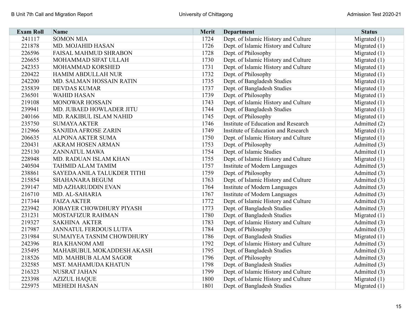| <b>Exam Roll</b> | Name                          | Merit | <b>Department</b>                    | <b>Status</b>  |
|------------------|-------------------------------|-------|--------------------------------------|----------------|
| 241117           | <b>SOMON MIA</b>              | 1724  | Dept. of Islamic History and Culture | Migrated $(1)$ |
| 221878           | MD. MOJAHID HASAN             | 1726  | Dept. of Islamic History and Culture | Migrated $(1)$ |
| 226596           | FAISAL MAHMUD SHRABON         | 1728  | Dept. of Philosophy                  | Migrated $(1)$ |
| 226655           | MOHAMMAD SIFAT ULLAH          | 1730  | Dept. of Islamic History and Culture | Migrated $(1)$ |
| 242353           | MOHAMMAD KORSHED              | 1731  | Dept. of Islamic History and Culture | Migrated $(1)$ |
| 220422           | <b>HAMIM ABDULLAH NUR</b>     | 1732  | Dept. of Philosophy                  | Migrated $(1)$ |
| 242200           | MD. SALMAN HOSSAIN RATIN      | 1735  | Dept. of Bangladesh Studies          | Migrated $(1)$ |
| 235839           | <b>DEVDAS KUMAR</b>           | 1737  | Dept. of Bangladesh Studies          | Migrated $(1)$ |
| 236501           | <b>WAHID HASAN</b>            | 1739  | Dept. of Philosophy                  | Migrated $(1)$ |
| 219108           | <b>MONOWAR HOSSAIN</b>        | 1743  | Dept. of Islamic History and Culture | Migrated $(1)$ |
| 239941           | MD. JUBAED HOWLADER JITU      | 1744  | Dept. of Bangladesh Studies          | Migrated $(1)$ |
| 240166           | MD. RAKIBUL ISLAM NAHID       | 1745  | Dept. of Philosophy                  | Migrated $(1)$ |
| 235750           | <b>SUMAYA AKTER</b>           | 1746  | Institute of Education and Research  | Admitted (2)   |
| 212966           | <b>SANJIDA AFROSE ZARIN</b>   | 1749  | Institute of Education and Research  | Migrated $(1)$ |
| 206635           | <b>ALPONA AKTER SUMA</b>      | 1750  | Dept. of Islamic History and Culture | Migrated $(1)$ |
| 220431           | <b>AKRAM HOSEN ARMAN</b>      | 1753  | Dept. of Philosophy                  | Admitted (3)   |
| 225130           | <b>ZANNATUL MAWA</b>          | 1754  | Dept. of Islamic Studies             | Admitted (1)   |
| 228948           | MD. RADUAN ISLAM KHAN         | 1755  | Dept. of Islamic History and Culture | Migrated $(1)$ |
| 240504           | <b>TAHMID ALAM TAMIM</b>      | 1757  | Institute of Modern Languages        | Admitted (3)   |
| 238861           | SAYEDA ANILA TALUKDER TITHI   | 1759  | Dept. of Philosophy                  | Admitted (3)   |
| 215854           | <b>SHAHANARA BEGUM</b>        | 1763  | Dept. of Islamic History and Culture | Admitted (3)   |
| 239147           | MD AZHARUDDIN EVAN            | 1764  | Institute of Modern Languages        | Admitted (3)   |
| 216710           | MD. AL-SAHARIA                | 1767  | Institute of Modern Languages        | Admitted (3)   |
| 217344           | <b>FAIZA AKTER</b>            | 1772  | Dept. of Islamic History and Culture | Admitted (3)   |
| 223942           | JOBAYER CHOWDHURY PIYASH      | 1773  | Dept. of Bangladesh Studies          | Admitted (3)   |
| 231231           | MOSTAFIZUR RAHMAN             | 1780  | Dept. of Bangladesh Studies          | Migrated $(1)$ |
| 219327           | <b>SAKHINA AKTER</b>          | 1783  | Dept. of Islamic History and Culture | Admitted (3)   |
| 217987           | <b>JANNATUL FERDOUS LUTFA</b> | 1784  | Dept. of Philosophy                  | Admitted (3)   |
| 231984           | SUMAIYEA TASNIM CHOWDHURY     | 1786  | Dept. of Bangladesh Studies          | Migrated $(1)$ |
| 242396           | <b>RIA KHANOM AMI</b>         | 1792  | Dept. of Islamic History and Culture | Admitted (3)   |
| 235495           | MAHABUBUL MOKADDESH AKASH     | 1795  | Dept. of Bangladesh Studies          | Admitted (3)   |
| 218526           | MD. MAHBUB ALAM SAGOR         | 1796  | Dept. of Philosophy                  | Admitted (3)   |
| 232585           | <b>MST. MAHAMUDA KHATUN</b>   | 1798  | Dept. of Bangladesh Studies          | Admitted (3)   |
| 216323           | NUSRAT JAHAN                  | 1799  | Dept. of Islamic History and Culture | Admitted (3)   |
| 223398           | <b>AZIZUL HAQUE</b>           | 1800  | Dept. of Islamic History and Culture | Migrated $(1)$ |
| 225975           | <b>MEHEDI HASAN</b>           | 1801  | Dept. of Bangladesh Studies          | Migrated $(1)$ |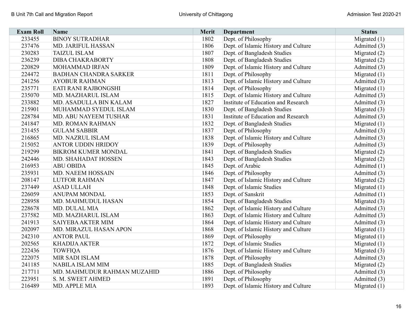| <b>Exam Roll</b> | <b>Name</b>                  | Merit | <b>Department</b>                    | <b>Status</b>  |
|------------------|------------------------------|-------|--------------------------------------|----------------|
| 233455           | <b>BINOY SUTRADHAR</b>       | 1802  | Dept. of Philosophy                  | Migrated $(1)$ |
| 237476           | <b>MD. JARIFUL HASSAN</b>    | 1806  | Dept. of Islamic History and Culture | Admitted (3)   |
| 230283           | <b>TAIZUL ISLAM</b>          | 1807  | Dept. of Bangladesh Studies          | Migrated (2)   |
| 236239           | <b>DIBA CHAKRABORTY</b>      | 1808  | Dept. of Bangladesh Studies          | Migrated (2)   |
| 220829           | MOHAMMAD IRFAN               | 1809  | Dept. of Islamic History and Culture | Admitted (3)   |
| 224472           | <b>BADHAN CHANDRA SARKER</b> | 1811  | Dept. of Philosophy                  | Migrated $(1)$ |
| 241256           | <b>AYOBUR RAHMAN</b>         | 1813  | Dept. of Islamic History and Culture | Admitted (3)   |
| 235771           | EATI RANI RAJBONGSHI         | 1814  | Dept. of Philosophy                  | Migrated $(1)$ |
| 235070           | MD. MAZHARUL ISLAM           | 1815  | Dept. of Islamic History and Culture | Admitted (3)   |
| 233882           | MD. ASADULLA BIN KALAM       | 1827  | Institute of Education and Research  | Admitted (3)   |
| 215901           | MUHAMMAD SYEDUL ISLAM        | 1830  | Dept. of Bangladesh Studies          | Migrated $(3)$ |
| 228784           | MD. ABU NAYEEM TUSHAR        | 1831  | Institute of Education and Research  | Admitted (3)   |
| 241847           | MD. ROMAN RAHMAN             | 1832  | Dept. of Bangladesh Studies          | Migrated $(1)$ |
| 231455           | <b>GULAM SABBIR</b>          | 1837  | Dept. of Philosophy                  | Admitted (3)   |
| 216865           | MD. NAZRUL ISLAM             | 1838  | Dept. of Islamic History and Culture | Admitted (3)   |
| 215052           | <b>ANTOR UDDIN HRIDOY</b>    | 1839  | Dept. of Philosophy                  | Admitted (3)   |
| 219299           | <b>BIKROM KUMER MONDAL</b>   | 1841  | Dept. of Bangladesh Studies          | Migrated $(2)$ |
| 242446           | MD. SHAHADAT HOSSEN          | 1843  | Dept. of Bangladesh Studies          | Migrated $(2)$ |
| 216953           | <b>ABU OBIDA</b>             | 1845  | Dept. of Arabic                      | Admitted (1)   |
| 235931           | <b>MD. NAEEM HOSSAIN</b>     | 1846  | Dept. of Philosophy                  | Admitted (3)   |
| 208147           | <b>LUTFOR RAHMAN</b>         | 1847  | Dept. of Islamic History and Culture | Migrated $(2)$ |
| 237449           | <b>ASAD ULLAH</b>            | 1848  | Dept. of Islamic Studies             | Migrated $(1)$ |
| 226059           | <b>ANUPAM MONDAL</b>         | 1853  | Dept. of Sanskrit                    | Admitted (1)   |
| 228958           | MD. MAHMUDUL HASAN           | 1854  | Dept. of Bangladesh Studies          | Migrated (3)   |
| 228678           | MD. DULAL MIA                | 1862  | Dept. of Islamic History and Culture | Admitted (3)   |
| 237582           | MD. MAZHARUL ISLAM           | 1863  | Dept. of Islamic History and Culture | Admitted (3)   |
| 241913           | SAIYEBA AKTER MIM            | 1864  | Dept. of Islamic History and Culture | Admitted (3)   |
| 202097           | MD. MIRAZUL HASAN APON       | 1868  | Dept. of Islamic History and Culture | Migrated $(1)$ |
| 242310           | <b>ANTOR PAUL</b>            | 1869  | Dept. of Philosophy                  | Migrated $(1)$ |
| 202565           | <b>KHADIJA AKTER</b>         | 1872  | Dept. of Islamic Studies             | Migrated $(1)$ |
| 222436           | <b>TOWFIQA</b>               | 1876  | Dept. of Islamic History and Culture | Migrated $(3)$ |
| 222075           | MIR SADI ISLAM               | 1878  | Dept. of Philosophy                  | Admitted (3)   |
| 241185           | NABILA ISLAM MIM             | 1885  | Dept. of Bangladesh Studies          | Migrated $(2)$ |
| 217711           | MD. MAHMUDUR RAHMAN MUZAHID  | 1886  | Dept. of Philosophy                  | Admitted (3)   |
| 223951           | S. M. SWEET AHMED            | 1891  | Dept. of Philosophy                  | Admitted (3)   |
| 216489           | MD. APPLE MIA                | 1893  | Dept. of Islamic History and Culture | Migrated $(1)$ |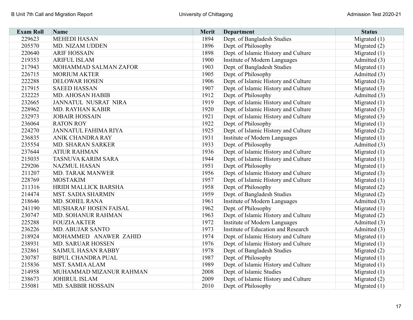| <b>Exam Roll</b> | Name                        | Merit | Department                           | <b>Status</b>  |
|------------------|-----------------------------|-------|--------------------------------------|----------------|
| 229623           | <b>MEHEDI HASAN</b>         | 1894  | Dept. of Bangladesh Studies          | Migrated $(1)$ |
| 205570           | MD. NIZAM UDDEN             | 1896  | Dept. of Philosophy                  | Migrated $(2)$ |
| 220640           | <b>ARIF HOSSAIN</b>         | 1898  | Dept. of Islamic History and Culture | Migrated $(1)$ |
| 219353           | <b>ARIFUL ISLAM</b>         | 1900  | Institute of Modern Languages        | Admitted (3)   |
| 217943           | MOHAMMAD SALMAN ZAFOR       | 1903  | Dept. of Bangladesh Studies          | Migrated $(1)$ |
| 226715           | <b>MORIUM AKTER</b>         | 1905  | Dept. of Philosophy                  | Admitted (3)   |
| 222288           | <b>DELOWAR HOSEN</b>        | 1906  | Dept. of Islamic History and Culture | Migrated (3)   |
| 217915           | <b>SAEED HASSAN</b>         | 1907  | Dept. of Islamic History and Culture | Migrated $(3)$ |
| 232225           | MD. AHOSAN HABIB            | 1912  | Dept. of Philosophy                  | Admitted (3)   |
| 232665           | JANNATUL NUSRAT NIRA        | 1919  | Dept. of Islamic History and Culture | Migrated $(1)$ |
| 228962           | MD. RAYHAN KABIR            | 1920  | Dept. of Islamic History and Culture | Migrated $(3)$ |
| 232973           | <b>JOBAIR HOSSAIN</b>       | 1921  | Dept. of Islamic History and Culture | Migrated (3)   |
| 236064           | <b>RATON ROY</b>            | 1922  | Dept. of Philosophy                  | Migrated $(1)$ |
| 224270           | <b>JANNATUL FAHIMA RIYA</b> | 1925  | Dept. of Islamic History and Culture | Migrated (2)   |
| 236835           | <b>ANIK CHANDRA RAY</b>     | 1931  | Institute of Modern Languages        | Migrated $(1)$ |
| 235554           | <b>MD. SHARAN SARKER</b>    | 1933  | Dept. of Philosophy                  | Admitted (3)   |
| 237644           | <b>ATIUR RAHMAN</b>         | 1936  | Dept. of Islamic History and Culture | Migrated $(1)$ |
| 215035           | <b>TASNUVA KARIM SARA</b>   | 1944  | Dept. of Islamic History and Culture | Migrated $(1)$ |
| 229206           | <b>NAZMUL HASAN</b>         | 1951  | Dept. of Philosophy                  | Migrated $(1)$ |
| 211207           | <b>MD. TARAK MANWER</b>     | 1956  | Dept. of Islamic History and Culture | Migrated $(3)$ |
| 228769           | <b>MOSTAKIM</b>             | 1957  | Dept. of Islamic History and Culture | Migrated $(1)$ |
| 211316           | HRIDI MALLICK BARSHA        | 1958  | Dept. of Philosophy                  | Migrated (2)   |
| 214474           | MST. SADIA SHARMIN          | 1959  | Dept. of Bangladesh Studies          | Migrated $(2)$ |
| 218646           | MD. SOHEL RANA              | 1961  | Institute of Modern Languages        | Admitted (3)   |
| 241190           | MUSHARAF HOSEN FAISAL       | 1962  | Dept. of Philosophy                  | Migrated $(1)$ |
| 230747           | <b>MD. SOHANUR RAHMAN</b>   | 1963  | Dept. of Islamic History and Culture | Migrated (2)   |
| 225288           | <b>FOUZIA AKTER</b>         | 1972  | Institute of Modern Languages        | Admitted (3)   |
| 236226           | <b>MD. ABUJAR SANTO</b>     | 1973  | Institute of Education and Research  | Admitted (3)   |
| 218924           | MOHAMMED ANAWER ZAHID       | 1974  | Dept. of Islamic History and Culture | Migrated $(1)$ |
| 238931           | <b>MD. SARUAR HOSSEN</b>    | 1976  | Dept. of Islamic History and Culture | Migrated $(1)$ |
| 232861           | SAIMUL HASAN RABBY          | 1978  | Dept. of Bangladesh Studies          | Migrated (2)   |
| 230787           | <b>BIPUL CHANDRA PUAL</b>   | 1987  | Dept. of Philosophy                  | Migrated $(1)$ |
| 215836           | <b>MST. SAMIA ALAM</b>      | 1989  | Dept. of Islamic History and Culture | Migrated $(1)$ |
| 214958           | MUHAMMAD MIZANUR RAHMAN     | 2008  | Dept. of Islamic Studies             | Migrated $(1)$ |
| 238673           | <b>JOHIRUL ISLAM</b>        | 2009  | Dept. of Islamic History and Culture | Migrated $(2)$ |
| 235081           | <b>MD. SABBIR HOSSAIN</b>   | 2010  | Dept. of Philosophy                  | Migrated $(1)$ |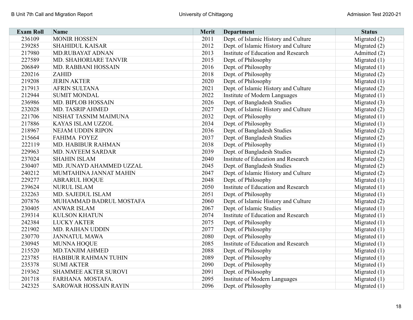| <b>Exam Roll</b> | <b>Name</b>                  | <b>Merit</b> | <b>Department</b>                    | <b>Status</b>  |
|------------------|------------------------------|--------------|--------------------------------------|----------------|
| 236109           | <b>MONIR HOSSEN</b>          | 2011         | Dept. of Islamic History and Culture | Migrated (2)   |
| 239285           | <b>SHAHIDUL KAISAR</b>       | 2012         | Dept. of Islamic History and Culture | Migrated $(2)$ |
| 217980           | MD.RUBAYAT ADNAN             | 2013         | Institute of Education and Research  | Admitted (2)   |
| 227589           | MD. SHAHORIARE TANVIR        | 2015         | Dept. of Philosophy                  | Migrated $(1)$ |
| 206849           | MD. RABBANI HOSSAIN          | 2016         | Dept. of Philosophy                  | Migrated $(1)$ |
| 220216           | <b>ZAHID</b>                 | 2018         | Dept. of Philosophy                  | Migrated (2)   |
| 219208           | <b>JERIN AKTER</b>           | 2020         | Dept. of Philosophy                  | Migrated (1)   |
| 217913           | <b>AFRIN SULTANA</b>         | 2021         | Dept. of Islamic History and Culture | Migrated $(2)$ |
| 212944           | <b>SUMIT MONDAL</b>          | 2022         | Institute of Modern Languages        | Migrated $(1)$ |
| 236986           | <b>MD. BIPLOB HOSSAIN</b>    | 2026         | Dept. of Bangladesh Studies          | Migrated $(3)$ |
| 232028           | <b>MD. TASRIP AHMED</b>      | 2027         | Dept. of Islamic History and Culture | Migrated $(2)$ |
| 221706           | NISHAT TASNIM MAIMUNA        | 2032         | Dept. of Philosophy                  | Migrated $(1)$ |
| 217886           | KAYAS ISLAM UZZOL            | 2034         | Dept. of Philosophy                  | Migrated $(1)$ |
| 218967           | NEJAM UDDIN RIPON            | 2036         | Dept. of Bangladesh Studies          | Migrated $(2)$ |
| 215664           | <b>FAHIMA FOYEZ</b>          | 2037         | Dept. of Bangladesh Studies          | Migrated (2)   |
| 222119           | <b>MD. HABIBUR RAHMAN</b>    | 2038         | Dept. of Philosophy                  | Migrated $(1)$ |
| 229963           | <b>MD. NAYEEM SARDAR</b>     | 2039         | Dept. of Bangladesh Studies          | Migrated $(2)$ |
| 237024           | <b>SHAHIN ISLAM</b>          | 2040         | Institute of Education and Research  | Migrated (2)   |
| 230407           | MD. JUNAYD AHAMMED UZZAL     | 2045         | Dept. of Bangladesh Studies          | Migrated $(2)$ |
| 240212           | MUMTAHINA JANNAT MAHIN       | 2047         | Dept. of Islamic History and Culture | Migrated $(2)$ |
| 229277           | <b>ABRARUL HOQUE</b>         | 2048         | Dept. of Philosophy                  | Migrated $(1)$ |
| 239624           | <b>NURUL ISLAM</b>           | 2050         | Institute of Education and Research  | Migrated $(1)$ |
| 232263           | MD. SAJEDUL ISLAM            | 2051         | Dept. of Philosophy                  | Migrated $(1)$ |
| 207876           | MUHAMMAD BADRUL MOSTAFA      | 2060         | Dept. of Islamic History and Culture | Migrated (2)   |
| 230405           | <b>ANWAR ISLAM</b>           | 2067         | Dept. of Islamic Studies             | Migrated $(1)$ |
| 239314           | <b>KULSON KHATUN</b>         | 2074         | Institute of Education and Research  | Migrated $(1)$ |
| 242384           | <b>LUCKY AKTER</b>           | 2075         | Dept. of Philosophy                  | Migrated $(1)$ |
| 221902           | MD. RAIHAN UDDIN             | 2077         | Dept. of Philosophy                  | Migrated $(1)$ |
| 230770           | <b>JANNATUL MAWA</b>         | 2080         | Dept. of Philosophy                  | Migrated $(1)$ |
| 230945           | MUNNA HOQUE                  | 2085         | Institute of Education and Research  | Migrated $(1)$ |
| 215520           | <b>MD.TANJIM AHMED</b>       | 2088         | Dept. of Philosophy                  | Migrated $(1)$ |
| 223785           | <b>HABIBUR RAHMAN TUHIN</b>  | 2089         | Dept. of Philosophy                  | Migrated $(1)$ |
| 235378           | <b>SUMI AKTER</b>            | 2090         | Dept. of Philosophy                  | Migrated $(1)$ |
| 219362           | <b>SHAMMEE AKTER SUROVI</b>  | 2091         | Dept. of Philosophy                  | Migrated $(1)$ |
| 201718           | FARHANA MOSTAFA.             | 2095         | Institute of Modern Languages        | Migrated $(1)$ |
| 242325           | <b>SAROWAR HOSSAIN RAYIN</b> | 2096         | Dept. of Philosophy                  | Migrated $(1)$ |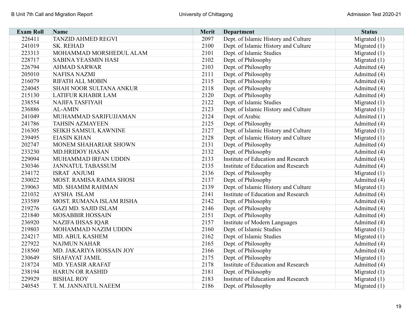| <b>Exam Roll</b> | Name                            | <b>Merit</b> | <b>Department</b>                    | <b>Status</b>  |
|------------------|---------------------------------|--------------|--------------------------------------|----------------|
| 226411           | <b>TANZID AHMED REGVI</b>       | 2097         | Dept. of Islamic History and Culture | Migrated $(1)$ |
| 241019           | <b>SK. REHAD</b>                | 2100         | Dept. of Islamic History and Culture | Migrated $(1)$ |
| 223313           | MOHAMMAD MORSHEDUL ALAM         | 2101         | Dept. of Islamic Studies             | Migrated $(1)$ |
| 228717           | <b>SABINA YEASMIN HASI</b>      | 2102         | Dept. of Philosophy                  | Migrated $(1)$ |
| 226794           | <b>AHMAD SARWAR</b>             | 2103         | Dept. of Philosophy                  | Admitted (4)   |
| 205010           | <b>NAFISA NAZMI</b>             | 2111         | Dept. of Philosophy                  | Admitted (4)   |
| 216079           | <b>RIFATH ALL MOBIN</b>         | 2115         | Dept. of Philosophy                  | Admitted (4)   |
| 224045           | SHAH NOOR SULTANA ANKUR         | 2118         | Dept. of Philosophy                  | Admitted (4)   |
| 215130           | <b>LATIFUR KHABIR LAM</b>       | 2120         | Dept. of Philosophy                  | Admitted (4)   |
| 238554           | <b>NAJIFA TASFIYAH</b>          | 2122         | Dept. of Islamic Studies             | Migrated $(1)$ |
| 236886           | <b>AL-AMIN</b>                  | 2123         | Dept. of Islamic History and Culture | Migrated $(1)$ |
| 241049           | MUHAMMAD SARIFUJJAMAN           | 2124         | Dept. of Arabic                      | Admitted (1)   |
| 241786           | <b>TAHSIN AZMAYEEN</b>          | 2125         | Dept. of Philosophy                  | Admitted (4)   |
| 216305           | <b>SEIKH SAMSUL KAWNINE</b>     | 2127         | Dept. of Islamic History and Culture | Migrated $(1)$ |
| 239495           | <b>EIASIN KHAN</b>              | 2128         | Dept. of Islamic History and Culture | Migrated $(1)$ |
| 202747           | MONEM SHAHARIAR SHOWN           | 2131         | Dept. of Philosophy                  | Admitted (4)   |
| 233230           | <b>MD.HRIDOY HASAN</b>          | 2132         | Dept. of Philosophy                  | Admitted (4)   |
| 229094           | MUHAMMAD IRFAN UDDIN            | 2133         | Institute of Education and Research  | Admitted (4)   |
| 230346           | <b>JANNATUL TABASSUM</b>        | 2135         | Institute of Education and Research  | Admitted (4)   |
| 234172           | <b>ISRAT ANJUMI</b>             | 2136         | Dept. of Philosophy                  | Migrated $(1)$ |
| 230022           | <b>MOST. RAMISA RAIMA SHOSI</b> | 2137         | Dept. of Philosophy                  | Admitted (4)   |
| 239063           | MD. SHAMIM RAHMAN               | 2139         | Dept. of Islamic History and Culture | Migrated $(1)$ |
| 221032           | <b>AYSHA ISLAM</b>              | 2141         | Institute of Education and Research  | Admitted (4)   |
| 233589           | MOST. RUMANA ISLAM RISHA        | 2142         | Dept. of Philosophy                  | Admitted (4)   |
| 219276           | <b>GAZI MD. SAJID ISLAM</b>     | 2146         | Dept. of Philosophy                  | Admitted (4)   |
| 221840           | <b>MOSABBIR HOSSAIN</b>         | 2151         | Dept. of Philosophy                  | Admitted (4)   |
| 236920           | <b>NAZIFA IHSAS IQAR</b>        | 2157         | Institute of Modern Languages        | Admitted (4)   |
| 219803           | MOHAMMAD NAZIM UDDIN            | 2160         | Dept. of Islamic Studies             | Migrated $(1)$ |
| 224217           | MD. ABUL KASHEM                 | 2162         | Dept. of Islamic Studies             | Migrated (1)   |
| 227922           | <b>NAJMUN NAHAR</b>             | 2165         | Dept. of Philosophy                  | Admitted (4)   |
| 218560           | MD. JAKARIYA HOSSAIN JOY        | 2166         | Dept. of Philosophy                  | Admitted (4)   |
| 230649           | <b>SHAFAYAT JAMIL</b>           | 2175         | Dept. of Philosophy                  | Migrated $(1)$ |
| 218724           | MD. YEASIR ARAFAT               | 2178         | Institute of Education and Research  | Admitted (4)   |
| 238194           | <b>HARUN OR RASHID</b>          | 2181         | Dept. of Philosophy                  | Migrated $(1)$ |
| 229929           | <b>BISHAL ROY</b>               | 2183         | Institute of Education and Research  | Migrated $(1)$ |
| 240545           | T. M. JANNATUL NAEEM            | 2186         | Dept. of Philosophy                  | Migrated $(1)$ |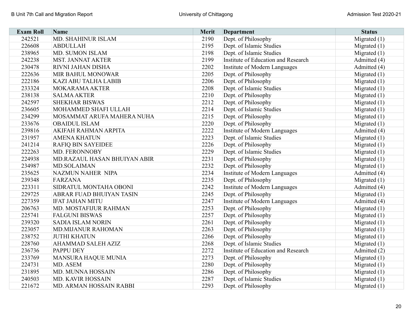| <b>Exam Roll</b> | Name                            | <b>Merit</b> | <b>Department</b>                   | <b>Status</b>  |
|------------------|---------------------------------|--------------|-------------------------------------|----------------|
| 242521           | MD. SHAHINUR ISLAM              | 2190         | Dept. of Philosophy                 | Migrated $(1)$ |
| 226608           | <b>ABDULLAH</b>                 | 2195         | Dept. of Islamic Studies            | Migrated $(1)$ |
| 238965           | MD. SUMON ISLAM                 | 2198         | Dept. of Islamic Studies            | Migrated $(1)$ |
| 242238           | <b>MST. JANNAT AKTER</b>        | 2199         | Institute of Education and Research | Admitted (4)   |
| 230478           | RIVNI JAHAN DISHA               | 2202         | Institute of Modern Languages       | Admitted (4)   |
| 222636           | MIR BAHUL MONOWAR               | 2205         | Dept. of Philosophy                 | Migrated $(1)$ |
| 222186           | <b>KAZI ABU TALHA LABIB</b>     | 2206         | Dept. of Philosophy                 | Migrated $(1)$ |
| 233324           | MOKARAMA AKTER                  | 2208         | Dept. of Islamic Studies            | Migrated $(1)$ |
| 238138           | <b>SALMA AKTER</b>              | 2210         | Dept. of Philosophy                 | Migrated $(1)$ |
| 242597           | <b>SHEKHAR BISWAS</b>           | 2212         | Dept. of Philosophy                 | Migrated $(1)$ |
| 236605           | MOHAMMED SHAFI ULLAH            | 2214         | Dept. of Islamic Studies            | Migrated $(1)$ |
| 234299           | MOSAMMAT ARUFA MAHERA NUHA      | 2215         | Dept. of Philosophy                 | Migrated $(1)$ |
| 233676           | <b>OBAIDUL ISLAM</b>            | 2220         | Dept. of Philosophy                 | Migrated $(1)$ |
| 239816           | AKIFAH RAHMAN ARPITA            | 2222         | Institute of Modern Languages       | Admitted (4)   |
| 231957           | <b>AMENA KHATUN</b>             | 2223         | Dept. of Islamic Studies            | Migrated $(1)$ |
| 241214           | <b>RAFIQ BIN SAYEIDEE</b>       | 2226         | Dept. of Philosophy                 | Migrated $(1)$ |
| 222263           | MD. FERONNOBY                   | 2229         | Dept. of Islamic Studies            | Migrated $(1)$ |
| 224938           | MD.RAZAUL HASAN BHUIYAN ABIR    | 2231         | Dept. of Philosophy                 | Migrated $(1)$ |
| 234987           | MD.SOLAIMAN                     | 2232         | Dept. of Philosophy                 | Migrated $(1)$ |
| 235625           | NAZMUN NAHER NIPA               | 2234         | Institute of Modern Languages       | Admitted (4)   |
| 239348           | FARZANA                         | 2235         | Dept. of Philosophy                 | Migrated $(1)$ |
| 223311           | SIDRATUL MONTAHA OBONI          | 2242         | Institute of Modern Languages       | Admitted (4)   |
| 229725           | <b>ABRAR FUAD BHUIYAN TASIN</b> | 2245         | Dept. of Philosophy                 | Migrated $(1)$ |
| 227359           | <b>IFAT JAHAN MITU</b>          | 2247         | Institute of Modern Languages       | Admitted (4)   |
| 206763           | MD. MOSTAFIJUR RAHMAN           | 2253         | Dept. of Philosophy                 | Migrated $(1)$ |
| 225741           | <b>FALGUNI BISWAS</b>           | 2257         | Dept. of Philosophy                 | Migrated $(1)$ |
| 239320           | <b>SADIA ISLAM NORIN</b>        | 2261         | Dept. of Philosophy                 | Migrated $(1)$ |
| 223057           | MD.MIJANUR RAHOMAN              | 2263         | Dept. of Philosophy                 | Migrated $(1)$ |
| 238752           | <b>JUTHI KHATUN</b>             | 2266         | Dept. of Philosophy                 | Migrated $(1)$ |
| 228760           | <b>AHAMMAD SALEH AZIZ</b>       | 2268         | Dept. of Islamic Studies            | Migrated $(1)$ |
| 236736           | <b>PAPPU DEY</b>                | 2272         | Institute of Education and Research | Admitted (2)   |
| 233769           | MANSURA HAQUE MUNIA             | 2273         | Dept. of Philosophy                 | Migrated $(1)$ |
| 224731           | MD. ASEM                        | 2280         | Dept. of Philosophy                 | Migrated $(1)$ |
| 231895           | MD. MUNNA HOSSAIN               | 2286         | Dept. of Philosophy                 | Migrated $(1)$ |
| 240503           | <b>MD. KAVIR HOSSAIN</b>        | 2287         | Dept. of Islamic Studies            | Migrated $(1)$ |
| 221672           | MD. ARMAN HOSSAIN RABBI         | 2293         | Dept. of Philosophy                 | Migrated $(1)$ |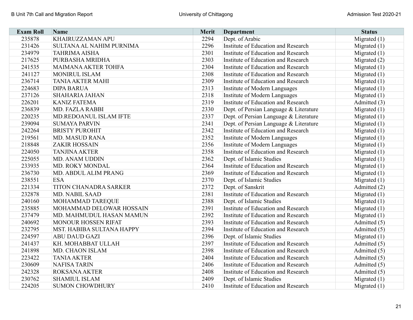| <b>Exam Roll</b> | Name                         | <b>Merit</b> | <b>Department</b>                          | <b>Status</b>  |
|------------------|------------------------------|--------------|--------------------------------------------|----------------|
| 235878           | KHAIRUZZAMAN APU             | 2294         | Dept. of Arabic                            | Migrated $(1)$ |
| 231426           | SULTANA AL NAHIM PURNIMA     | 2296         | Institute of Education and Research        | Migrated $(1)$ |
| 234979           | <b>TAHRIMA AISHA</b>         | 2301         | Institute of Education and Research        | Migrated $(1)$ |
| 217625           | PURBASHA MRIDHA              | 2303         | Institute of Education and Research        | Migrated (2)   |
| 241535           | <b>MAIMANA AKTER TOHFA</b>   | 2304         | Institute of Education and Research        | Migrated $(1)$ |
| 241127           | MONIRUL ISLAM                | 2308         | Institute of Education and Research        | Migrated $(1)$ |
| 236714           | <b>TANIA AKTER MAHI</b>      | 2309         | Institute of Education and Research        | Migrated $(1)$ |
| 224683           | <b>DIPA BARUA</b>            | 2313         | Institute of Modern Languages              | Migrated $(1)$ |
| 237126           | <b>SHAHARIA JAHAN</b>        | 2318         | Institute of Modern Languages              | Migrated $(1)$ |
| 226201           | <b>KANIZ FATEMA</b>          | 2319         | Institute of Education and Research        | Admitted (3)   |
| 236839           | MD. FAZLA RABBI              | 2330         | Dept. of Persian Language & Literature     | Migrated $(1)$ |
| 220235           | MD.REDOANUL ISLAM IFTE       | 2337         | Dept. of Persian Language & Literature     | Migrated $(1)$ |
| 239094           | <b>SUMAYA PARVIN</b>         | 2341         | Dept. of Persian Language & Literature     | Migrated $(1)$ |
| 242264           | <b>BRISTY PUROHIT</b>        | 2342         | Institute of Education and Research        | Migrated $(1)$ |
| 219561           | <b>MD. MASUD RANA</b>        | 2352         | Institute of Modern Languages              | Migrated $(1)$ |
| 218848           | <b>ZAKIR HOSSAIN</b>         | 2356         | Institute of Modern Languages              | Migrated $(1)$ |
| 224050           | <b>TANJINA AKTER</b>         | 2358         | Institute of Education and Research        | Migrated $(1)$ |
| 225055           | <b>MD. ANAM UDDIN</b>        | 2362         | Dept. of Islamic Studies                   | Migrated $(1)$ |
| 233935           | <b>MD. ROKY MONDAL</b>       | 2364         | Institute of Education and Research        | Migrated $(1)$ |
| 236730           | MD. ABDUL ALIM PRANG         | 2369         | Institute of Education and Research        | Migrated $(1)$ |
| 238551           | <b>ESA</b>                   | 2370         | Dept. of Islamic Studies                   | Migrated $(1)$ |
| 221334           | <b>TITON CHANADRA SARKER</b> | 2372         | Dept. of Sanskrit                          | Admitted (2)   |
| 232878           | <b>MD. NABIL SAAD</b>        | 2381         | Institute of Education and Research        | Migrated $(1)$ |
| 240160           | <b>MOHAMMAD TAREQUE</b>      | 2388         | Dept. of Islamic Studies                   | Migrated $(1)$ |
| 235885           | MOHAMMAD DELOWAR HOSSAIN     | 2391         | Institute of Education and Research        | Migrated $(1)$ |
| 237479           | MD. MAHMUDUL HASAN MAMUN     | 2392         | Institute of Education and Research        | Migrated $(1)$ |
| 240692           | <b>MONOUR HOSSEN RIFAT</b>   | 2393         | Institute of Education and Research        | Admitted (5)   |
| 232795           | MST. HABIBA SULTANA HAPPY    | 2394         | Institute of Education and Research        | Admitted (5)   |
| 224597           | <b>ABU DAUD GAZI</b>         | 2396         | Dept. of Islamic Studies                   | Migrated $(1)$ |
| 241437           | KH. MOHABBAT ULLAH           | 2397         | Institute of Education and Research        | Admitted (5)   |
| 241898           | MD. CHAON ISLAM              | 2398         | Institute of Education and Research        | Admitted (5)   |
| 223422           | <b>TANIA AKTER</b>           | 2404         | Institute of Education and Research        | Admitted (5)   |
| 230609           | <b>NAFISA TARIN</b>          | 2406         | Institute of Education and Research        | Admitted (5)   |
| 242328           | <b>ROKSANA AKTER</b>         | 2408         | Institute of Education and Research        | Admitted (5)   |
| 230762           | <b>SHAMIUL ISLAM</b>         | 2409         | Dept. of Islamic Studies                   | Migrated $(1)$ |
| 224205           | <b>SUMON CHOWDHURY</b>       | 2410         | <b>Institute of Education and Research</b> | Migrated $(1)$ |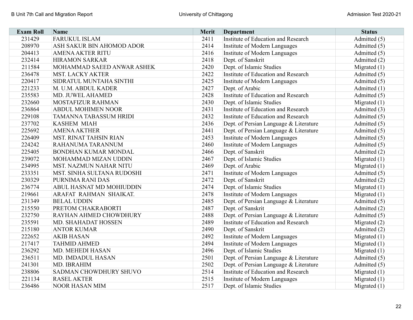| <b>Exam Roll</b> | <b>Name</b>                   | Merit | <b>Department</b>                      | <b>Status</b>  |
|------------------|-------------------------------|-------|----------------------------------------|----------------|
| 231429           | <b>FARUKUL ISLAM</b>          | 2411  | Institute of Education and Research    | Admitted (5)   |
| 208970           | ASH SAKUR BIN AHOMOD ADOR     | 2414  | Institute of Modern Languages          | Admitted (5)   |
| 204413           | <b>AMENA AKTER RITU</b>       | 2416  | Institute of Modern Languages          | Admitted (5)   |
| 232414           | <b>HIRAMON SARKAR</b>         | 2418  | Dept. of Sanskrit                      | Admitted (2)   |
| 211584           | MOHAMMAD SAEED ANWAR ASHEK    | 2420  | Dept. of Islamic Studies               | Migrated $(1)$ |
| 236478           | <b>MST. LACKY AKTER</b>       | 2422  | Institute of Education and Research    | Admitted (5)   |
| 220417           | SIDRATUL MUNTAHA SINTHI       | 2425  | Institute of Modern Languages          | Admitted (5)   |
| 221233           | M. U.M. ABDUL KADER           | 2427  | Dept. of Arabic                        | Admitted (1)   |
| 235583           | MD. JUWEL AHAMED              | 2428  | Institute of Education and Research    | Admitted (5)   |
| 232660           | <b>MOSTAFIZUR RAHMAN</b>      | 2430  | Dept. of Islamic Studies               | Migrated $(1)$ |
| 236864           | <b>ABDUL MOHIMEN NOOR</b>     | 2431  | Institute of Education and Research    | Admitted (3)   |
| 229108           | <b>TAMANNA TABASSUM HRIDI</b> | 2432  | Institute of Education and Research    | Admitted (5)   |
| 237702           | <b>KASHEM MIAH</b>            | 2436  | Dept. of Persian Language & Literature | Admitted (5)   |
| 225692           | <b>AMENA AKTHER</b>           | 2441  | Dept. of Persian Language & Literature | Admitted (5)   |
| 226409           | <b>MST. RINAT TAHSIN RIAN</b> | 2453  | Institute of Modern Languages          | Admitted (5)   |
| 224242           | RAHANUMA TARANNUM             | 2460  | Institute of Modern Languages          | Admitted (5)   |
| 225405           | <b>BONDHAN KUMAR MONDAL</b>   | 2466  | Dept. of Sanskrit                      | Admitted (2)   |
| 239072           | MOHAMMAD MIZAN UDDIN          | 2467  | Dept. of Islamic Studies               | Migrated $(1)$ |
| 234995           | <b>MST. NAZMUN NAHAR NITU</b> | 2469  | Dept. of Arabic                        | Migrated $(1)$ |
| 233351           | MST. SINHA SULTANA RUDOSHI    | 2471  | Institute of Modern Languages          | Admitted (5)   |
| 230329           | PURNIMA RANI DAS              | 2472  | Dept. of Sanskrit                      | Admitted (2)   |
| 236774           | ABUL HASNAT MD MOHIUDDIN      | 2474  | Dept. of Islamic Studies               | Migrated $(1)$ |
| 219661           | ARAFAT RAHMAN SHAIKAT.        | 2478  | Institute of Modern Languages          | Migrated $(1)$ |
| 231349           | <b>BELAL UDDIN</b>            | 2485  | Dept. of Persian Language & Literature | Admitted (5)   |
| 215550           | PRETOM CHAKRABORTI            | 2487  | Dept. of Sanskrit                      | Admitted (2)   |
| 232750           | RAYHAN AHMED CHOWDHURY        | 2488  | Dept. of Persian Language & Literature | Admitted (5)   |
| 235591           | MD. SHAHADAT HOSSEN           | 2489  | Institute of Education and Research    | Migrated (2)   |
| 215180           | <b>ANTOR KUMAR</b>            | 2490  | Dept. of Sanskrit                      | Admitted (2)   |
| 222652           | <b>AKIB HASAN</b>             | 2492  | Institute of Modern Languages          | Migrated $(1)$ |
| 217417           | <b>TAHMID AHMED</b>           | 2494  | Institute of Modern Languages          | Migrated $(1)$ |
| 236292           | MD. MEHEDI HASAN              | 2496  | Dept. of Islamic Studies               | Migrated $(1)$ |
| 236511           | MD. IMDADUL HASAN             | 2501  | Dept. of Persian Language & Literature | Admitted (5)   |
| 241301           | MD. IBRAHIM                   | 2502  | Dept. of Persian Language & Literature | Admitted (5)   |
| 238806           | SADMAN CHOWDHURY SHUVO        | 2514  | Institute of Education and Research    | Migrated $(1)$ |
| 221134           | <b>RASEL AKTER</b>            | 2515  | Institute of Modern Languages          | Migrated $(1)$ |
| 236486           | <b>NOOR HASAN MIM</b>         | 2517  | Dept. of Islamic Studies               | Migrated $(1)$ |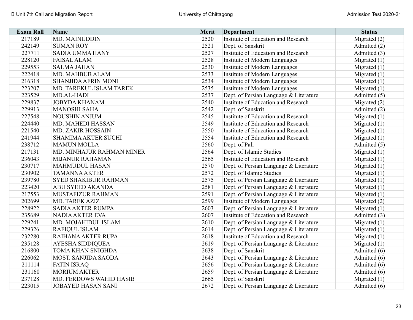| <b>Exam Roll</b> | Name                           | <b>Merit</b> | <b>Department</b>                      | <b>Status</b>  |
|------------------|--------------------------------|--------------|----------------------------------------|----------------|
| 217189           | <b>MD. MAINUDDIN</b>           | 2520         | Institute of Education and Research    | Migrated (2)   |
| 242149           | <b>SUMAN ROY</b>               | 2521         | Dept. of Sanskrit                      | Admitted (2)   |
| 227711           | <b>SADIA UMMA HANY</b>         | 2527         | Institute of Education and Research    | Admitted (3)   |
| 228120           | <b>FAISAL ALAM</b>             | 2528         | Institute of Modern Languages          | Migrated $(1)$ |
| 229553           | <b>SALMA JAHAN</b>             | 2530         | Institute of Modern Languages          | Migrated $(1)$ |
| 222418           | MD. MAHBUB ALAM                | 2533         | Institute of Modern Languages          | Migrated $(1)$ |
| 216318           | <b>SHANJIDA AFRIN MONI</b>     | 2534         | Institute of Modern Languages          | Migrated $(1)$ |
| 223207           | MD. TAREKUL ISLAM TAREK        | 2535         | Institute of Modern Languages          | Migrated $(1)$ |
| 223529           | MD.AL-HADI                     | 2537         | Dept. of Persian Language & Literature | Admitted (5)   |
| 229837           | <b>JOBYDA KHANAM</b>           | 2540         | Institute of Education and Research    | Migrated $(2)$ |
| 229913           | <b>MANOSHI SAHA</b>            | 2542         | Dept. of Sanskrit                      | Admitted (2)   |
| 227548           | <b>NOUSHIN ANJUM</b>           | 2545         | Institute of Education and Research    | Migrated $(1)$ |
| 224440           | MD. MAHEDI HASSAN              | 2549         | Institute of Education and Research    | Migrated $(1)$ |
| 221540           | <b>MD. ZAKIR HOSSAIN</b>       | 2550         | Institute of Education and Research    | Migrated $(1)$ |
| 241944           | <b>SHAMIMA AKTER SUCHI</b>     | 2554         | Institute of Education and Research    | Migrated $(1)$ |
| 238712           | <b>MAMUN MOLLA</b>             | 2560         | Dept. of Pali                          | Admitted (5)   |
| 217131           | MD. MINHAJUR RAHMAN MINER      | 2564         | Dept. of Islamic Studies               | Migrated $(1)$ |
| 236043           | <b>MIJANUR RAHAMAN</b>         | 2565         | Institute of Education and Research    | Migrated $(1)$ |
| 230717           | <b>MAHMUDUL HASAN</b>          | 2570         | Dept. of Persian Language & Literature | Migrated $(1)$ |
| 230902           | <b>TAMANNA AKTER</b>           | 2572         | Dept. of Islamic Studies               | Migrated $(1)$ |
| 239780           | <b>SYED SHAKIBUR RAHMAN</b>    | 2575         | Dept. of Persian Language & Literature | Migrated $(1)$ |
| 223420           | <b>ABU SYEED AKANDA</b>        | 2581         | Dept. of Persian Language & Literature | Migrated $(1)$ |
| 217553           | MUSTAFIZUR RAHMAN              | 2591         | Dept. of Persian Language & Literature | Migrated $(1)$ |
| 202699           | <b>MD. TAREK AZIZ</b>          | 2599         | Institute of Modern Languages          | Migrated $(2)$ |
| 228922           | SADIA AKTER RUMPA              | 2603         | Dept. of Persian Language & Literature | Migrated $(1)$ |
| 235689           | <b>NADIA AKTER EVA</b>         | 2607         | Institute of Education and Research    | Admitted (3)   |
| 229241           | MD. MOJAHIDUL ISLAM            | 2610         | Dept. of Persian Language & Literature | Migrated $(1)$ |
| 229326           | <b>RAFIQUL ISLAM</b>           | 2614         | Dept. of Persian Language & Literature | Migrated $(1)$ |
| 232280           | RAIHANA AKTER RUPA             | 2618         | Institute of Education and Research    | Migrated $(1)$ |
| 235128           | <b>AYESHA SIDDIQUEA</b>        | 2619         | Dept. of Persian Language & Literature | Migrated $(1)$ |
| 216800           | <b>TOMA KHAN SNIGHDA</b>       | 2638         | Dept. of Sanskrit                      | Admitted (6)   |
| 226062           | <b>MOST. SANJIDA SAODA</b>     | 2643         | Dept. of Persian Language & Literature | Admitted (6)   |
| 211114           | <b>FATIN ISRAQ</b>             | 2656         | Dept. of Persian Language & Literature | Admitted (6)   |
| 231160           | <b>MORIUM AKTER</b>            | 2659         | Dept. of Persian Language & Literature | Admitted (6)   |
| 237128           | <b>MD. FERDOWS WAHID HASIB</b> | 2665         | Dept. of Sanskrit                      | Migrated $(1)$ |
| 223015           | <b>JOBAYED HASAN SANI</b>      | 2672         | Dept. of Persian Language & Literature | Admitted (6)   |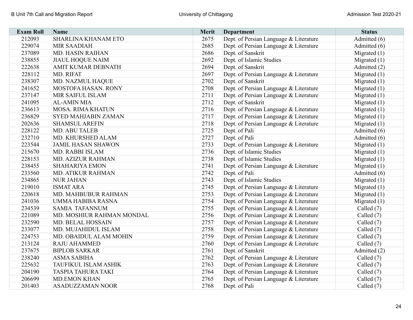| <b>Exam Roll</b> | <b>Name</b>                 | <b>Merit</b> | <b>Department</b>                      | <b>Status</b>  |
|------------------|-----------------------------|--------------|----------------------------------------|----------------|
| 212093           | SHARLINA KHANAM ETO         | 2675         | Dept. of Persian Language & Literature | Admitted (6)   |
| 229074           | <b>MIR SAADIAH</b>          | 2685         | Dept. of Persian Language & Literature | Admitted (6)   |
| 237089           | MD. HASIN RAIHAN            | 2686         | Dept. of Sanskrit                      | Migrated $(1)$ |
| 238855           | <b>JIAUL HOQUE NAIM</b>     | 2692         | Dept. of Islamic Studies               | Migrated $(1)$ |
| 222638           | AMIT KUMAR DEBNATH          | 2694         | Dept. of Sanskrit                      | Admitted (2)   |
| 228112           | MD. RIFAT                   | 2697         | Dept. of Persian Language & Literature | Migrated $(1)$ |
| 238307           | MD. NAZMUL HAQUE            | 2702         | Dept. of Sanskrit                      | Migrated $(1)$ |
| 241652           | MOSTOFA HASAN. RONY         | 2708         | Dept. of Persian Language & Literature | Migrated $(1)$ |
| 237147           | MIR SAIFUL ISLAM            | 2711         | Dept. of Persian Language & Literature | Migrated $(1)$ |
| 241095           | <b>AL-AMIN MIA</b>          | 2712         | Dept. of Sanskrit                      | Migrated (1)   |
| 236613           | <b>MOSA. RIMA KHATUN</b>    | 2716         | Dept. of Persian Language & Literature | Migrated $(1)$ |
| 236829           | <b>SYED MAHJABIN ZAMAN</b>  | 2717         | Dept. of Persian Language & Literature | Migrated $(1)$ |
| 202636           | <b>SHAMSUL AREFIN</b>       | 2718         | Dept. of Persian Language & Literature | Migrated $(1)$ |
| 228122           | <b>MD. ABU TALEB</b>        | 2725         | Dept. of Pali                          | Admitted (6)   |
| 232710           | MD. KHURSHED ALAM           | 2727         | Dept. of Pali                          | Admitted (6)   |
| 223544           | <b>JAMIL HASAN SHAWON</b>   | 2733         | Dept. of Persian Language & Literature | Migrated $(1)$ |
| 215670           | MD. RABBI ISLAM             | 2736         | Dept. of Islamic Studies               | Migrated $(1)$ |
| 228153           | MD. AZIZUR RAHMAN           | 2738         | Dept. of Islamic Studies               | Migrated $(1)$ |
| 238455           | <b>SHAHARIYA EMON</b>       | 2741         | Dept. of Persian Language & Literature | Migrated $(1)$ |
| 233560           | <b>MD. ATIKUR RAHMAN</b>    | 2742         | Dept. of Pali                          | Admitted (6)   |
| 234865           | <b>NUR JAHAN</b>            | 2743         | Dept. of Islamic Studies               | Migrated $(1)$ |
| 219010           | <b>ISMAT ARA</b>            | 2745         | Dept. of Persian Language & Literature | Migrated $(1)$ |
| 220618           | MD. MAHBUBUR RAHMAN         | 2753         | Dept. of Persian Language & Literature | Migrated $(1)$ |
| 241036           | UMMA HABIBA RASNA           | 2754         | Dept. of Persian Language & Literature | Migrated $(1)$ |
| 234539           | <b>SAMIA TAFANNUM</b>       | 2755         | Dept. of Persian Language & Literature | Called (7)     |
| 221089           | MD. MOSHIUR RAHMAN MONDAL   | 2756         | Dept. of Persian Language & Literature | Called (7)     |
| 232590           | MD. BELAL HOSSAIN           | 2757         | Dept. of Persian Language & Literature | Called (7)     |
| 233077           | MD. MUJAHIDUL ISLAM         | 2758         | Dept. of Persian Language & Literature | Called (7)     |
| 224753           | MD. OBAIDUL ALAM MOHIN      | 2759         | Dept. of Persian Language & Literature | Called (7)     |
| 213124           | <b>RAJU AHAMMED</b>         | 2760         | Dept. of Persian Language & Literature | Called (7)     |
| 237675           | <b>BIPLOB SARKAR</b>        | 2761         | Dept. of Sanskrit                      | Admitted (2)   |
| 238240           | <b>ASMA SABIHA</b>          | 2762         | Dept. of Persian Language & Literature | Called $(7)$   |
| 225632           | <b>TAUFIKUL ISLAM ASHIK</b> | 2763         | Dept. of Persian Language & Literature | Called (7)     |
| 204190           | <b>TASPIA TAHURA TAKI</b>   | 2764         | Dept. of Persian Language & Literature | Called $(7)$   |
| 206699           | <b>MD.EMON KHAN</b>         | 2765         | Dept. of Persian Language & Literature | Called (7)     |
| 201403           | <b>ASADUZZAMAN NOOR</b>     | 2768         | Dept. of Pali                          | Called (7)     |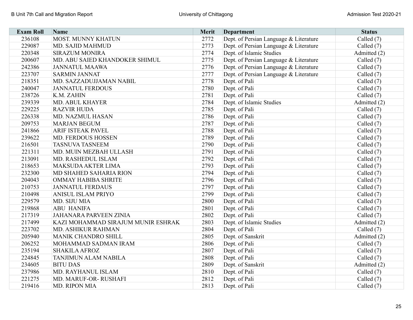| <b>Exam Roll</b> | <b>Name</b>                        | <b>Merit</b> | <b>Department</b>                      | <b>Status</b> |
|------------------|------------------------------------|--------------|----------------------------------------|---------------|
| 236108           | MOST. MUNNY KHATUN                 | 2772         | Dept. of Persian Language & Literature | Called (7)    |
| 229087           | MD. SAJID MAHMUD                   | 2773         | Dept. of Persian Language & Literature | Called (7)    |
| 220348           | <b>SIRAZUM MONIRA</b>              | 2774         | Dept. of Islamic Studies               | Admitted (2)  |
| 200607           | MD. ABU SAIED KHANDOKER SHIMUL     | 2775         | Dept. of Persian Language & Literature | Called (7)    |
| 242386           | <b>JANNATUL MAAWA</b>              | 2776         | Dept. of Persian Language & Literature | Called (7)    |
| 223707           | <b>SARMIN JANNAT</b>               | 2777         | Dept. of Persian Language & Literature | Called $(7)$  |
| 218351           | MD. SAZZADUJJAMAN NABIL            | 2778         | Dept. of Pali                          | Called $(7)$  |
| 240047           | <b>JANNATUL FERDOUS</b>            | 2780         | Dept. of Pali                          | Called $(7)$  |
| 238726           | K.M. ZAHIN                         | 2781         | Dept. of Pali                          | Called (7)    |
| 239339           | MD. ABUL KHAYER                    | 2784         | Dept. of Islamic Studies               | Admitted (2)  |
| 229225           | <b>RAZVIR HUDA</b>                 | 2785         | Dept. of Pali                          | Called $(7)$  |
| 226338           | MD. NAZMUL HASAN                   | 2786         | Dept. of Pali                          | Called $(7)$  |
| 209753           | <b>MARJAN BEGUM</b>                | 2787         | Dept. of Pali                          | Called (7)    |
| 241866           | <b>ARIF ISTEAK PAVEL</b>           | 2788         | Dept. of Pali                          | Called (7)    |
| 239622           | MD. FERDOUS HOSSEN                 | 2789         | Dept. of Pali                          | Called (7)    |
| 216501           | <b>TASNUVA TASNEEM</b>             | 2790         | Dept. of Pali                          | Called $(7)$  |
| 221311           | MD. MUIN MEZBAH ULLASH             | 2791         | Dept. of Pali                          | Called (7)    |
| 213091           | MD. RASHEDUL ISLAM                 | 2792         | Dept. of Pali                          | Called (7)    |
| 218653           | <b>MAKSUDA AKTER LIMA</b>          | 2793         | Dept. of Pali                          | Called (7)    |
| 232300           | MD SHAHED SAHARIA RION             | 2794         | Dept. of Pali                          | Called (7)    |
| 204043           | <b>OMMAY HABIBA SHRITE</b>         | 2796         | Dept. of Pali                          | Called (7)    |
| 210753           | <b>JANNATUL FERDAUS</b>            | 2797         | Dept. of Pali                          | Called (7)    |
| 210498           | <b>ANISUL ISLAM PRIYO</b>          | 2799         | Dept. of Pali                          | Called (7)    |
| 229579           | MD. SIJU MIA                       | 2800         | Dept. of Pali                          | Called (7)    |
| 219868           | <b>ABU HANIFA</b>                  | 2801         | Dept. of Pali                          | Called (7)    |
| 217319           | <b>JAHANARA PARVEEN ZINIA</b>      | 2802         | Dept. of Pali                          | Called (7)    |
| 217499           | KAZI MOHAMMAD SIRAJUM MUNIR ESHRAK | 2803         | Dept. of Islamic Studies               | Admitted (2)  |
| 223702           | MD. ASHIKUR RAHMAN                 | 2804         | Dept. of Pali                          | Called (7)    |
| 205940           | MANIK CHANDRO SHILL                | 2805         | Dept. of Sanskrit                      | Admitted (2)  |
| 206252           | MOHAMMAD SADMAN IRAM               | 2806         | Dept. of Pali                          | Called $(7)$  |
| 235194           | <b>SHAKILA AFROZ</b>               | 2807         | Dept. of Pali                          | Called (7)    |
| 224845           | <b>TANJIMUN ALAM NABILA</b>        | 2808         | Dept. of Pali                          | Called (7)    |
| 234605           | <b>BITU DAS</b>                    | 2809         | Dept. of Sanskrit                      | Admitted (2)  |
| 237986           | MD. RAYHANUL ISLAM                 | 2810         | Dept. of Pali                          | Called $(7)$  |
| 221275           | MD. MARUF-OR-RUSHAFI               | 2812         | Dept. of Pali                          | Called (7)    |
| 219416           | MD. RIPON MIA                      | 2813         | Dept. of Pali                          | Called (7)    |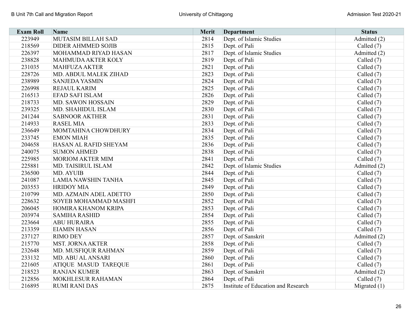| <b>Exam Roll</b> | Name                        | <b>Merit</b> | <b>Department</b>                   | <b>Status</b>  |
|------------------|-----------------------------|--------------|-------------------------------------|----------------|
| 223949           | MUTASIM BILLAH SAD          | 2814         | Dept. of Islamic Studies            | Admitted (2)   |
| 218569           | <b>DIDER AHMMED SOJIB</b>   | 2815         | Dept. of Pali                       | Called $(7)$   |
| 226397           | MOHAMMAD RIYAD HASAN        | 2817         | Dept. of Islamic Studies            | Admitted (2)   |
| 238828           | <b>MAHMUDA AKTER KOLY</b>   | 2819         | Dept. of Pali                       | Called $(7)$   |
| 231035           | <b>MAHFUZA AKTER</b>        | 2821         | Dept. of Pali                       | Called (7)     |
| 228726           | MD. ABDUL MALEK ZIHAD       | 2823         | Dept. of Pali                       | Called $(7)$   |
| 238989           | <b>SANJEDA YASMIN</b>       | 2824         | Dept. of Pali                       | Called (7)     |
| 226998           | REJAUL KARIM                | 2825         | Dept. of Pali                       | Called (7)     |
| 216513           | <b>EFAD SAFI ISLAM</b>      | 2826         | Dept. of Pali                       | Called (7)     |
| 218733           | <b>MD. SAWON HOSSAIN</b>    | 2829         | Dept. of Pali                       | Called $(7)$   |
| 239325           | MD. SHAHIDUL ISLAM          | 2830         | Dept. of Pali                       | Called (7)     |
| 241244           | <b>SABNOOR AKTHER</b>       | 2831         | Dept. of Pali                       | Called $(7)$   |
| 214933           | <b>RASEL MIA</b>            | 2833         | Dept. of Pali                       | Called $(7)$   |
| 236649           | MOMTAHINA CHOWDHURY         | 2834         | Dept. of Pali                       | Called $(7)$   |
| 233745           | <b>EMON MIAH</b>            | 2835         | Dept. of Pali                       | Called $(7)$   |
| 204658           | HASAN AL RAFID SHEYAM       | 2836         | Dept. of Pali                       | Called $(7)$   |
| 240075           | <b>SUMON AHMED</b>          | 2838         | Dept. of Pali                       | Called $(7)$   |
| 225985           | <b>MORIOM AKTER MIM</b>     | 2841         | Dept. of Pali                       | Called (7)     |
| 225881           | <b>MD. TAISIRUL ISLAM</b>   | 2842         | Dept. of Islamic Studies            | Admitted (2)   |
| 236500           | <b>MD. AYUIB</b>            | 2844         | Dept. of Pali                       | Called $(7)$   |
| 241087           | LAMIA NAWSHIN TANHA         | 2845         | Dept. of Pali                       | Called (7)     |
| 203553           | <b>HRIDOY MIA</b>           | 2849         | Dept. of Pali                       | Called (7)     |
| 210799           | MD. AZMAIN ADEL ADETTO      | 2850         | Dept. of Pali                       | Called $(7)$   |
| 228632           | SOYEB MOHAMMAD MASHFI       | 2852         | Dept. of Pali                       | Called (7)     |
| 206045           | <b>HOMIRA KHANOM KRIPA</b>  | 2853         | Dept. of Pali                       | Called $(7)$   |
| 203974           | <b>SAMIHA RASHID</b>        | 2854         | Dept. of Pali                       | Called (7)     |
| 223664           | <b>ABU HURAIRA</b>          | 2855         | Dept. of Pali                       | Called (7)     |
| 213359           | <b>EIAMIN HASAN</b>         | 2856         | Dept. of Pali                       | Called (7)     |
| 237127           | <b>RIMO DEY</b>             | 2857         | Dept. of Sanskrit                   | Admitted (2)   |
| 215770           | <b>MST. JORNA AKTER</b>     | 2858         | Dept. of Pali                       | Called (7)     |
| 232648           | MD. MUSFIQUR RAHMAN         | 2859         | Dept. of Pali                       | Called $(7)$   |
| 233132           | MD. ABU AL ANSARI           | 2860         | Dept. of Pali                       | Called (7)     |
| 221605           | <b>ATIQUE MASUD TAREQUE</b> | 2861         | Dept. of Pali                       | Called $(7)$   |
| 218523           | <b>RANJAN KUMER</b>         | 2863         | Dept. of Sanskrit                   | Admitted (2)   |
| 212856           | MOKHLESUR RAHAMAN           | 2864         | Dept. of Pali                       | Called (7)     |
| 216895           | <b>RUMI RANI DAS</b>        | 2875         | Institute of Education and Research | Migrated $(1)$ |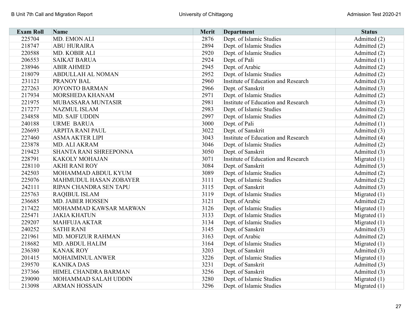| <b>Exam Roll</b> | <b>Name</b>              | Merit | <b>Department</b>                   | <b>Status</b>  |
|------------------|--------------------------|-------|-------------------------------------|----------------|
| 225704           | MD. EMON ALI             | 2876  | Dept. of Islamic Studies            | Admitted (2)   |
| 218747           | <b>ABU HURAIRA</b>       | 2894  | Dept. of Islamic Studies            | Admitted (2)   |
| 220588           | MD. KOBIR ALI            | 2920  | Dept. of Islamic Studies            | Admitted (2)   |
| 206553           | <b>SAIKAT BARUA</b>      | 2924  | Dept. of Pali                       | Admitted (1)   |
| 238946           | <b>ABIR AHMED</b>        | 2945  | Dept. of Arabic                     | Admitted (2)   |
| 218079           | <b>ABDULLAH AL NOMAN</b> | 2952  | Dept. of Islamic Studies            | Admitted (2)   |
| 231121           | <b>PRANOY BAL</b>        | 2960  | Institute of Education and Research | Admitted (3)   |
| 227263           | <b>JOYONTO BARMAN</b>    | 2966  | Dept. of Sanskrit                   | Admitted (3)   |
| 217934           | <b>MORSHEDA KHANAM</b>   | 2971  | Dept. of Islamic Studies            | Admitted (2)   |
| 221975           | MUBASSARA MUNTASIR       | 2981  | Institute of Education and Research | Admitted (3)   |
| 217277           | <b>NAZMUL ISLAM</b>      | 2983  | Dept. of Islamic Studies            | Admitted (2)   |
| 234858           | MD. SAIF UDDIN           | 2997  | Dept. of Islamic Studies            | Admitted (2)   |
| 240188           | <b>URME BARUA</b>        | 3000  | Dept. of Pali                       | Admitted (1)   |
| 226693           | <b>ARPITA RANI PAUL</b>  | 3022  | Dept. of Sanskrit                   | Admitted (3)   |
| 227460           | <b>ASMA AKTER LIPI</b>   | 3043  | Institute of Education and Research | Admitted (4)   |
| 223878           | MD. ALI AKRAM            | 3046  | Dept. of Islamic Studies            | Admitted (2)   |
| 219423           | SHANTA RANI SHREEPONNA   | 3050  | Dept. of Sanskrit                   | Admitted (3)   |
| 228791           | <b>KAKOLY MOHAJAN</b>    | 3071  | Institute of Education and Research | Migrated $(1)$ |
| 228110           | <b>AKHI RANI ROY</b>     | 3084  | Dept. of Sanskrit                   | Admitted (3)   |
| 242503           | MOHAMMAD ABDUL KYUM      | 3089  | Dept. of Islamic Studies            | Admitted (2)   |
| 225076           | MAHMUDUL HASAN ZOBAYER   | 3111  | Dept. of Islamic Studies            | Admitted (2)   |
| 242111           | RIPAN CHANDRA SEN TAPU   | 3115  | Dept. of Sanskrit                   | Admitted (3)   |
| 225763           | <b>RAQIBUL ISLAM</b>     | 3119  | Dept. of Islamic Studies            | Migrated $(1)$ |
| 236685           | <b>MD. JABER HOSSEN</b>  | 3121  | Dept. of Arabic                     | Admitted (2)   |
| 217422           | MOHAMMAD KAWSAR MARWAN   | 3126  | Dept. of Islamic Studies            | Migrated $(1)$ |
| 225471           | <b>JAKIA KHATUN</b>      | 3133  | Dept. of Islamic Studies            | Migrated $(1)$ |
| 229207           | <b>MAHFUJA AKTAR</b>     | 3134  | Dept. of Islamic Studies            | Migrated $(1)$ |
| 240252           | <b>SATHI RANI</b>        | 3145  | Dept. of Sanskrit                   | Admitted (3)   |
| 221961           | MD. MOFIZUR RAHMAN       | 3163  | Dept. of Arabic                     | Admitted (2)   |
| 218682           | MD. ABDUL HALIM          | 3164  | Dept. of Islamic Studies            | Migrated $(1)$ |
| 236380           | <b>KANAK ROY</b>         | 3203  | Dept. of Sanskrit                   | Admitted (3)   |
| 201415           | MOHAIMINUL ANWER         | 3226  | Dept. of Islamic Studies            | Migrated $(1)$ |
| 239570           | <b>KANIKA DAS</b>        | 3231  | Dept. of Sanskrit                   | Admitted (3)   |
| 237366           | HIMEL CHANDRA BARMAN     | 3256  | Dept. of Sanskrit                   | Admitted (3)   |
| 239090           | MOHAMMAD SALAH UDDIN     | 3280  | Dept. of Islamic Studies            | Migrated $(1)$ |
| 213098           | <b>ARMAN HOSSAIN</b>     | 3296  | Dept. of Islamic Studies            | Migrated $(1)$ |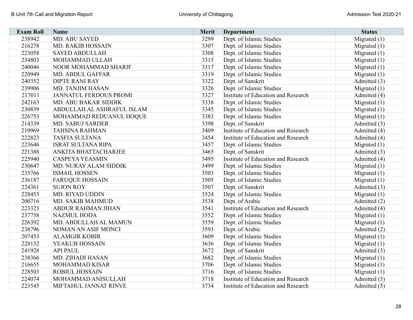| <b>Exam Roll</b> | Name                        | <b>Merit</b> | <b>Department</b>                   | <b>Status</b>  |
|------------------|-----------------------------|--------------|-------------------------------------|----------------|
| 238942           | MD. ABU SAYED               | 3299         | Dept. of Islamic Studies            | Migrated $(1)$ |
| 216278           | <b>MD. RAKIB HOSSAIN</b>    | 3307         | Dept. of Islamic Studies            | Migrated $(1)$ |
| 223058           | <b>SAYED ABDULLAH</b>       | 3308         | Dept. of Islamic Studies            | Migrated $(1)$ |
| 234803           | MOHAMMAD ULLAH              | 3315         | Dept. of Islamic Studies            | Migrated $(1)$ |
| 240046           | NOOR MOHAMMAD SHARIF        | 3317         | Dept. of Islamic Studies            | Migrated $(1)$ |
| 220949           | <b>MD. ABDUL GAFFAR</b>     | 3319         | Dept. of Islamic Studies            | Migrated $(1)$ |
| 240352           | <b>DIPTE RANI RAY</b>       | 3322         | Dept. of Sanskrit                   | Admitted (3)   |
| 239906           | MD. TANJIM HASAN            | 3326         | Dept. of Islamic Studies            | Migrated $(1)$ |
| 217011           | JANNATUL FERDOUS PROMI      | 3327         | Institute of Education and Research | Admitted (4)   |
| 242163           | MD. ABU BAKAR SIDDIK        | 3338         | Dept. of Islamic Studies            | Migrated $(1)$ |
| 230839           | ABDULLAH AL ASHRAFUL ISLAM  | 3345         | Dept. of Islamic Studies            | Migrated $(1)$ |
| 226753           | MOHAMMAD REDUANUL HOQUE     | 3383         | Dept. of Islamic Studies            | Migrated $(1)$ |
| 214339           | <b>MD. SABUJ SARDER</b>     | 3398         | Dept. of Sanskrit                   | Admitted (3)   |
| 219969           | <b>TAHSINA RAHMAN</b>       | 3409         | Institute of Education and Research | Admitted (4)   |
| 222823           | <b>TASFIA SULTANA</b>       | 3454         | Institute of Education and Research | Admitted (4)   |
| 223646           | <b>ISRAT SULTANA RIPA</b>   | 3457         | Dept. of Islamic Studies            | Migrated $(1)$ |
| 221388           | <b>ANKITA BHATTACHARJEE</b> | 3465         | Dept. of Sanskrit                   | Admitted (3)   |
| 225940           | <b>CASPEYA YEASMIN</b>      | 3495         | Institute of Education and Research | Admitted (4)   |
| 230647           | MD. NURAY ALAM SIDDIK       | 3499         | Dept. of Islamic Studies            | Migrated $(1)$ |
| 235766           | <b>ISMAIL HOSSEN</b>        | 3503         | Dept. of Islamic Studies            | Migrated $(1)$ |
| 236187           | <b>FARUQUE HOSSAIN</b>      | 3505         | Dept. of Islamic Studies            | Migrated $(1)$ |
| 224361           | <b>SUJON ROY</b>            | 3507         | Dept. of Sanskrit                   | Admitted (3)   |
| 228453           | <b>MD. RIYAD UDDIN</b>      | 3524         | Dept. of Islamic Studies            | Migrated $(1)$ |
| 200716           | <b>MD. SAKIB MAHMUD</b>     | 3538         | Dept. of Arabic                     | Admitted (2)   |
| 223323           | <b>ABDUR RAHMAN JIHAN</b>   | 3541         | Institute of Education and Research | Admitted (4)   |
| 237758           | <b>NAZMUL HODA</b>          | 3552         | Dept. of Islamic Studies            | Migrated $(1)$ |
| 226392           | MD. ABDULLAH AL MAMUN       | 3559         | Dept. of Islamic Studies            | Migrated $(1)$ |
| 238796           | NOMAN AN ASIF MONCI         | 3593         | Dept. of Arabic                     | Admitted (2)   |
| 207453           | <b>ALAMGIR KOBIR</b>        | 3609         | Dept. of Islamic Studies            | Migrated $(1)$ |
| 228132           | <b>YEAKUB HOSSAIN</b>       | 3636         | Dept. of Islamic Studies            | Migrated $(1)$ |
| 241928           | <b>API PAUL</b>             | 3672         | Dept. of Sanskrit                   | Admitted (3)   |
| 238366           | MD. ZIHADI HASAN            | 3682         | Dept. of Islamic Studies            | Migrated $(1)$ |
| 216655           | <b>MOHAMMAD KISAR</b>       | 3706         | Dept. of Islamic Studies            | Migrated $(1)$ |
| 228503           | <b>ROBIUL HOSSAIN</b>       | 3716         | Dept. of Islamic Studies            | Migrated $(1)$ |
| 224074           | MOHAMMAD ANISULLAH          | 3718         | Institute of Education and Research | Admitted (5)   |
| 223545           | MIFTAHUL JANNAT RINVE       | 3734         | Institute of Education and Research | Admitted (5)   |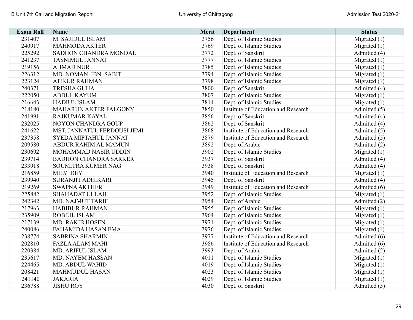| <b>Exam Roll</b> | <b>Name</b>                  | <b>Merit</b> | <b>Department</b>                   | <b>Status</b>  |
|------------------|------------------------------|--------------|-------------------------------------|----------------|
| 231407           | M. SAJIDUL ISLAM             | 3756         | Dept. of Islamic Studies            | Migrated $(1)$ |
| 240917           | <b>MAHMODA AKTER</b>         | 3769         | Dept. of Islamic Studies            | Migrated $(1)$ |
| 225292           | SADHON CHANDRA MONDAL        | 3772         | Dept. of Sanskrit                   | Admitted (4)   |
| 241237           | <b>TASNIMUL JANNAT</b>       | 3777         | Dept. of Islamic Studies            | Migrated $(1)$ |
| 219156           | <b>AHMAD NUR</b>             | 3785         | Dept. of Islamic Studies            | Migrated $(1)$ |
| 226312           | MD. NOMAN IBN SABIT          | 3794         | Dept. of Islamic Studies            | Migrated $(1)$ |
| 223124           | <b>ATIKUR RAHMAN</b>         | 3798         | Dept. of Islamic Studies            | Migrated $(1)$ |
| 240371           | <b>TRESHA GUHA</b>           | 3800         | Dept. of Sanskrit                   | Admitted (4)   |
| 222050           | <b>ABDUL KAYUM</b>           | 3807         | Dept. of Islamic Studies            | Migrated $(1)$ |
| 216643           | <b>HADIUL ISLAM</b>          | 3814         | Dept. of Islamic Studies            | Migrated $(1)$ |
| 218180           | <b>MAHARUN AKTER FALGONY</b> | 3850         | Institute of Education and Research | Admitted (5)   |
| 241991           | RAJKUMAR KAYAL               | 3856         | Dept. of Sanskrit                   | Admitted (4)   |
| 232025           | <b>NOYON CHANDRA GOUP</b>    | 3862         | Dept. of Sanskrit                   | Admitted (4)   |
| 241622           | MST. JANNATUL FERDOUSI JEMI  | 3868         | Institute of Education and Research | Admitted (5)   |
| 237358           | SYEDA MIFTAHUL JANNAT        | 3879         | Institute of Education and Research | Admitted (5)   |
| 209580           | <b>ABDUR RAHIM AL MAMUN</b>  | 3892         | Dept. of Arabic                     | Admitted (2)   |
| 230692           | MOHAMMAD NASIR UDDIN         | 3902         | Dept. of Islamic Studies            | Migrated $(1)$ |
| 239714           | <b>BADHON CHANDRA SARKER</b> | 3937         | Dept. of Sanskrit                   | Admitted (4)   |
| 233918           | SOUMITRA KUMER NAG           | 3938         | Dept. of Sanskrit                   | Admitted (4)   |
| 216859           | <b>MILY DEY</b>              | 3940         | Institute of Education and Research | Migrated $(1)$ |
| 239940           | <b>SURANJIT ADHIKARI</b>     | 3945         | Dept. of Sanskrit                   | Admitted (4)   |
| 219269           | <b>SWAPNA AKTHER</b>         | 3949         | Institute of Education and Research | Admitted (6)   |
| 225882           | <b>SHAHADAT ULLAH</b>        | 3952         | Dept. of Islamic Studies            | Migrated $(1)$ |
| 242342           | <b>MD. NAJMUT TARIF</b>      | 3954         | Dept. of Arabic                     | Admitted (2)   |
| 217963           | <b>HABIBUR RAHMAN</b>        | 3955         | Dept. of Islamic Studies            | Migrated $(1)$ |
| 235909           | <b>ROBIUL ISLAM</b>          | 3964         | Dept. of Islamic Studies            | Migrated $(1)$ |
| 217139           | <b>MD. RAKIB HOSEN</b>       | 3971         | Dept. of Islamic Studies            | Migrated $(1)$ |
| 240086           | <b>FAHAMIDA HASAN EMA</b>    | 3976         | Dept. of Islamic Studies            | Migrated $(1)$ |
| 238774           | <b>SABRINA SHARMIN</b>       | 3977         | Institute of Education and Research | Admitted (6)   |
| 202810           | <b>FAZLA ALAM MAHI</b>       | 3986         | Institute of Education and Research | Admitted (6)   |
| 220384           | <b>MD. ARIFUL ISLAM</b>      | 3993         | Dept. of Arabic                     | Admitted (2)   |
| 235617           | MD. NAYEM HASSAN             | 4011         | Dept. of Islamic Studies            | Migrated $(1)$ |
| 224465           | <b>MD. ABDUL WAHID</b>       | 4019         | Dept. of Islamic Studies            | Migrated $(1)$ |
| 208421           | <b>MAHMUDUL HASAN</b>        | 4023         | Dept. of Islamic Studies            | Migrated $(1)$ |
| 241140           | <b>JAKARIA</b>               | 4029         | Dept. of Islamic Studies            | Migrated $(1)$ |
| 236788           | <b>JISHU ROY</b>             | 4030         | Dept. of Sanskrit                   | Admitted (5)   |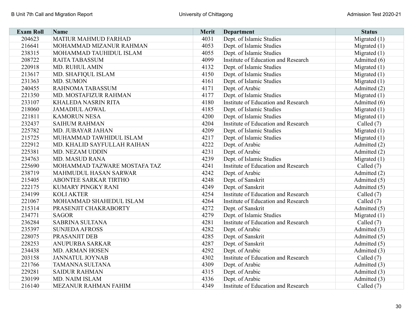| <b>Exam Roll</b> | Name                         | <b>Merit</b> | <b>Department</b>                   | <b>Status</b>  |
|------------------|------------------------------|--------------|-------------------------------------|----------------|
| 204623           | <b>MATIUR MAHMUD FARHAD</b>  | 4031         | Dept. of Islamic Studies            | Migrated $(1)$ |
| 216641           | MOHAMMAD MIZANUR RAHMAN      | 4053         | Dept. of Islamic Studies            | Migrated $(1)$ |
| 238315           | MOHAMMAD TAUHIDUL ISLAM      | 4055         | Dept. of Islamic Studies            | Migrated $(1)$ |
| 208722           | <b>RAITA TABASSUM</b>        | 4099         | Institute of Education and Research | Admitted (6)   |
| 220918           | <b>MD. RUHUL AMIN</b>        | 4132         | Dept. of Islamic Studies            | Migrated $(1)$ |
| 213617           | <b>MD. SHAFIQUL ISLAM</b>    | 4150         | Dept. of Islamic Studies            | Migrated $(1)$ |
| 231363           | MD. SUMON                    | 4161         | Dept. of Islamic Studies            | Migrated $(1)$ |
| 240455           | RAHNOMA TABASSUM             | 4171         | Dept. of Arabic                     | Admitted (2)   |
| 221350           | <b>MD. MOSTAFIZUR RAHMAN</b> | 4177         | Dept. of Islamic Studies            | Migrated $(1)$ |
| 233107           | <b>KHALEDA NASRIN RITA</b>   | 4180         | Institute of Education and Research | Admitted (6)   |
| 218060           | <b>JAMADIUL AOWAL</b>        | 4185         | Dept. of Islamic Studies            | Migrated $(1)$ |
| 221811           | <b>KAMORUN NESA</b>          | 4200         | Dept. of Islamic Studies            | Migrated $(1)$ |
| 232437           | <b>SAIHUM RAHMAN</b>         | 4204         | Institute of Education and Research | Called $(7)$   |
| 225782           | MD. JUBAYAR JAHAN            | 4209         | Dept. of Islamic Studies            | Migrated $(1)$ |
| 215725           | MUHAMMAD TAWHIDUL ISLAM      | 4217         | Dept. of Islamic Studies            | Migrated $(1)$ |
| 222912           | MD. KHALID SAYFULLAH RAIHAN  | 4222         | Dept. of Arabic                     | Admitted (2)   |
| 225381           | MD. NEZAM UDDIN              | 4231         | Dept. of Arabic                     | Admitted (2)   |
| 234763           | <b>MD. MASUD RANA</b>        | 4239         | Dept. of Islamic Studies            | Migrated $(1)$ |
| 225690           | MOHAMMAD TAZWARE MOSTAFA TAZ | 4241         | Institute of Education and Research | Called (7)     |
| 238719           | MAHMUDUL HASAN SARWAR        | 4242         | Dept. of Arabic                     | Admitted (2)   |
| 215405           | <b>ABONTEE SARKAR TIRTHO</b> | 4248         | Dept. of Sanskrit                   | Admitted (5)   |
| 222175           | KUMARY PINGKY RANI           | 4249         | Dept. of Sanskrit                   | Admitted (5)   |
| 234199           | <b>KOLI AKTER</b>            | 4254         | Institute of Education and Research | Called (7)     |
| 221067           | MOHAMMAD SHAHEDUL ISLAM      | 4264         | Institute of Education and Research | Called (7)     |
| 215314           | PRASENJIT CHAKRABORTY        | 4272         | Dept. of Sanskrit                   | Admitted (5)   |
| 234771           | <b>SAGOR</b>                 | 4279         | Dept. of Islamic Studies            | Migrated $(1)$ |
| 236284           | SABRINA SULTANA              | 4281         | Institute of Education and Research | Called $(7)$   |
| 235397           | <b>SUNJEDA AFROSS</b>        | 4282         | Dept. of Arabic                     | Admitted (3)   |
| 228075           | <b>PRASANJIT DEB</b>         | 4285         | Dept. of Sanskrit                   | Admitted (5)   |
| 228253           | <b>ANUPURBA SARKAR</b>       | 4287         | Dept. of Sanskrit                   | Admitted (5)   |
| 234438           | <b>MD. ARMAN HOSEN</b>       | 4292         | Dept. of Arabic                     | Admitted (3)   |
| 203158           | <b>JANNATUL JOYNAB</b>       | 4302         | Institute of Education and Research | Called $(7)$   |
| 221766           | <b>TAMANNA SULTANA</b>       | 4309         | Dept. of Arabic                     | Admitted (3)   |
| 229281           | <b>SAIDUR RAHMAN</b>         | 4315         | Dept. of Arabic                     | Admitted (3)   |
| 230199           | MD. NAIM ISLAM               | 4336         | Dept. of Arabic                     | Admitted (3)   |
| 216140           | MEZANUR RAHMAN FAHIM         | 4349         | Institute of Education and Research | Called (7)     |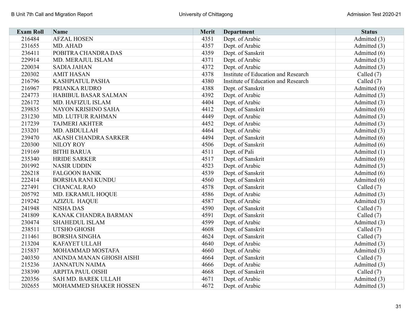| <b>Exam Roll</b> | <b>Name</b>                 | <b>Merit</b> | <b>Department</b>                   | <b>Status</b> |
|------------------|-----------------------------|--------------|-------------------------------------|---------------|
| 216484           | <b>AFZAL HOSEN</b>          | 4351         | Dept. of Arabic                     | Admitted (3)  |
| 231655           | MD. AHAD                    | 4357         | Dept. of Arabic                     | Admitted (3)  |
| 236411           | POBITRA CHANDRA DAS         | 4359         | Dept. of Sanskrit                   | Admitted (6)  |
| 229914           | MD. MERAJUL ISLAM           | 4371         | Dept. of Arabic                     | Admitted (3)  |
| 220034           | <b>SADIA JAHAN</b>          | 4372         | Dept. of Arabic                     | Admitted (3)  |
| 220302           | <b>AMIT HASAN</b>           | 4378         | Institute of Education and Research | Called (7)    |
| 216796           | KASHPIATUL PASHA            | 4380         | Institute of Education and Research | Called $(7)$  |
| 216967           | PRIANKA RUDRO               | 4388         | Dept. of Sanskrit                   | Admitted (6)  |
| 224773           | <b>HABIBUL BASAR SALMAN</b> | 4392         | Dept. of Arabic                     | Admitted (3)  |
| 226172           | MD. HAFIZUL ISLAM           | 4404         | Dept. of Arabic                     | Admitted (3)  |
| 239835           | NAYON KRISHNO SAHA          | 4412         | Dept. of Sanskrit                   | Admitted (6)  |
| 231230           | <b>MD. LUTFUR RAHMAN</b>    | 4449         | Dept. of Arabic                     | Admitted (3)  |
| 217239           | <b>TAJMERI AKHTER</b>       | 4452         | Dept. of Arabic                     | Admitted (3)  |
| 233201           | MD. ABDULLAH                | 4464         | Dept. of Arabic                     | Admitted (3)  |
| 239470           | <b>AKASH CHANDRA SARKER</b> | 4494         | Dept. of Sanskrit                   | Admitted (6)  |
| 220300           | <b>NILOY ROY</b>            | 4506         | Dept. of Sanskrit                   | Admitted (6)  |
| 219169           | <b>BITHI BARUA</b>          | 4511         | Dept. of Pali                       | Admitted (1)  |
| 235340           | <b>HRIDE SARKER</b>         | 4517         | Dept. of Sanskrit                   | Admitted (6)  |
| 201992           | <b>NASIR UDDIN</b>          | 4523         | Dept. of Arabic                     | Admitted (3)  |
| 226218           | <b>FALGOON BANIK</b>        | 4539         | Dept. of Sanskrit                   | Admitted (6)  |
| 222414           | <b>BORSHA RANI KUNDU</b>    | 4560         | Dept. of Sanskrit                   | Admitted (6)  |
| 227491           | <b>CHANCAL RAO</b>          | 4578         | Dept. of Sanskrit                   | Called (7)    |
| 205792           | MD. EKRAMUL HOQUE           | 4586         | Dept. of Arabic                     | Admitted (3)  |
| 219242           | <b>AZIZUL HAQUE</b>         | 4587         | Dept. of Arabic                     | Admitted (3)  |
| 241948           | <b>NISHA DAS</b>            | 4590         | Dept. of Sanskrit                   | Called (7)    |
| 241809           | KANAK CHANDRA BARMAN        | 4591         | Dept. of Sanskrit                   | Called (7)    |
| 230474           | <b>SHAHEDUL ISLAM</b>       | 4599         | Dept. of Arabic                     | Admitted (3)  |
| 238511           | UTSHO GHOSH                 | 4608         | Dept. of Sanskrit                   | Called (7)    |
| 211461           | <b>BORSHA SINGHA</b>        | 4624         | Dept. of Sanskrit                   | Called (7)    |
| 213204           | <b>KAFAYET ULLAH</b>        | 4640         | Dept. of Arabic                     | Admitted (3)  |
| 215837           | MOHAMMAD MOSTAFA            | 4660         | Dept. of Arabic                     | Admitted (3)  |
| 240350           | ANINDA MANAN GHOSH AISHI    | 4664         | Dept. of Sanskrit                   | Called $(7)$  |
| 215236           | <b>JANNATUN NAIMA</b>       | 4666         | Dept. of Arabic                     | Admitted (3)  |
| 238390           | <b>ARPITA PAUL OISHI</b>    | 4668         | Dept. of Sanskrit                   | Called (7)    |
| 220356           | SAH MD. BAREK ULLAH         | 4671         | Dept. of Arabic                     | Admitted (3)  |
| 202655           | MOHAMMED SHAKER HOSSEN      | 4672         | Dept. of Arabic                     | Admitted (3)  |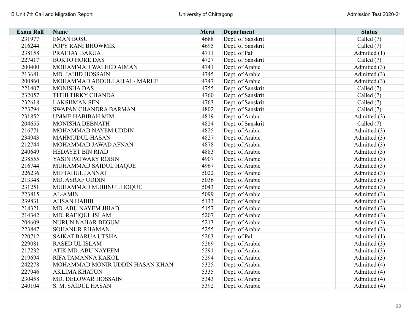| <b>Exam Roll</b> | <b>Name</b>                     | Merit | <b>Department</b> | <b>Status</b> |
|------------------|---------------------------------|-------|-------------------|---------------|
| 231977           | <b>EMAN BOSU</b>                | 4688  | Dept. of Sanskrit | Called (7)    |
| 216244           | POPY RANI BHOWMIK               | 4695  | Dept. of Sanskrit | Called (7)    |
| 238158           | PRATTAY BARUA                   | 4711  | Dept. of Pali     | Admitted (1)  |
| 227417           | <b>BOKTO HORE DAS</b>           | 4727  | Dept. of Sanskrit | Called (7)    |
| 200400           | MOHAMMAD WALEED AIMAN           | 4741  | Dept. of Arabic   | Admitted (3)  |
| 213681           | MD. JAHID HOSSAIN               | 4745  | Dept. of Arabic   | Admitted (3)  |
| 200860           | MOHAMMAD ABDULLAH AL- MARUF     | 4747  | Dept. of Arabic   | Admitted (3)  |
| 221407           | <b>MONISHA DAS</b>              | 4755  | Dept. of Sanskrit | Called (7)    |
| 232057           | <b>TITHI TIRKY CHANDA</b>       | 4760  | Dept. of Sanskrit | Called (7)    |
| 232618           | <b>LAKSHMAN SEN</b>             | 4763  | Dept. of Sanskrit | Called (7)    |
| 223794           | SWAPAN CHANDRA BARMAN           | 4802  | Dept. of Sanskrit | Called $(7)$  |
| 231852           | <b>UMME HABIBAH MIM</b>         | 4819  | Dept. of Arabic   | Admitted (3)  |
| 204655           | MONISHA DEBNATH                 | 4824  | Dept. of Sanskrit | Called (7)    |
| 216771           | MOHAMMAD NAYEM UDDIN            | 4825  | Dept. of Arabic   | Admitted (3)  |
| 234943           | <b>MAHMUDUL HASAN</b>           | 4827  | Dept. of Arabic   | Admitted (3)  |
| 212744           | MOHAMMAD JAWAD AFNAN            | 4878  | Dept. of Arabic   | Admitted (3)  |
| 240649           | <b>HEDAYET BIN RIAD</b>         | 4883  | Dept. of Arabic   | Admitted (3)  |
| 238555           | YASIN PATWARY ROBIN             | 4907  | Dept. of Arabic   | Admitted (3)  |
| 216744           | MUHAMMAD SAIDUL HAQUE           | 4967  | Dept. of Arabic   | Admitted (3)  |
| 226236           | MIFTAHUL JANNAT                 | 5022  | Dept. of Arabic   | Admitted (3)  |
| 213348           | <b>MD. ASRAF UDDIN</b>          | 5036  | Dept. of Arabic   | Admitted (3)  |
| 231251           | MUHAMMAD MUBINUL HOQUE          | 5043  | Dept. of Arabic   | Admitted (3)  |
| 223815           | <b>AL-AMIN</b>                  | 5099  | Dept. of Arabic   | Admitted (3)  |
| 239831           | <b>AHSAN HABIB</b>              | 5133  | Dept. of Arabic   | Admitted (3)  |
| 218321           | MD. ABU NAYEM JIHAD             | 5157  | Dept. of Arabic   | Admitted (3)  |
| 214342           | MD. RAFIQUL ISLAM               | 5207  | Dept. of Arabic   | Admitted (3)  |
| 204609           | NURUN NAHAR BEGUM               | 5213  | Dept. of Arabic   | Admitted (3)  |
| 223847           | <b>SOHANUR RHAMAN</b>           | 5255  | Dept. of Arabic   | Admitted (3)  |
| 220712           | <b>SAIKAT BARUA UTSHA</b>       | 5263  | Dept. of Pali     | Admitted (1)  |
| 229081           | <b>RASED UL ISLAM</b>           | 5269  | Dept. of Arabic   | Admitted (3)  |
| 217232           | ATIK MD. ABU NAYEEM             | 5291  | Dept. of Arabic   | Admitted (3)  |
| 219694           | RIFA TAMANNA KAKOL              | 5294  | Dept. of Arabic   | Admitted (3)  |
| 242278           | MOHAMMAD MONIR UDDIN HASAN KHAN | 5325  | Dept. of Arabic   | Admitted (4)  |
| 227946           | <b>AKLIMA KHATUN</b>            | 5335  | Dept. of Arabic   | Admitted (4)  |
| 230458           | MD. DELOWAR HOSSAIN             | 5343  | Dept. of Arabic   | Admitted (4)  |
| 240104           | S. M. SAIDUL HASAN              | 5392  | Dept. of Arabic   | Admitted (4)  |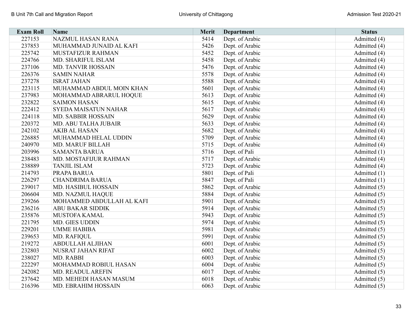| <b>Exam Roll</b> | Name                        | <b>Merit</b> | <b>Department</b> | <b>Status</b> |
|------------------|-----------------------------|--------------|-------------------|---------------|
| 227153           | <b>NAZMUL HASAN RANA</b>    | 5414         | Dept. of Arabic   | Admitted (4)  |
| 237853           | MUHAMMAD JUNAID AL KAFI     | 5426         | Dept. of Arabic   | Admitted (4)  |
| 225742           | MUSTAFIZUR RAHMAN           | 5452         | Dept. of Arabic   | Admitted (4)  |
| 224766           | MD. SHARIFUL ISLAM          | 5458         | Dept. of Arabic   | Admitted (4)  |
| 237106           | <b>MD. TANVIR HOSSAIN</b>   | 5476         | Dept. of Arabic   | Admitted (4)  |
| 226376           | <b>SAMIN NAHAR</b>          | 5578         | Dept. of Arabic   | Admitted (4)  |
| 237278           | <b>ISRAT JAHAN</b>          | 5588         | Dept. of Arabic   | Admitted (4)  |
| 223115           | MUHAMMAD ABDUL MOIN KHAN    | 5601         | Dept. of Arabic   | Admitted (4)  |
| 237983           | MOHAMMAD ABRARUL HOQUE      | 5613         | Dept. of Arabic   | Admitted (4)  |
| 232822           | <b>SAIMON HASAN</b>         | 5615         | Dept. of Arabic   | Admitted (4)  |
| 222412           | <b>SYEDA MAISATUN NAHAR</b> | 5617         | Dept. of Arabic   | Admitted (4)  |
| 224118           | MD. SABBIR HOSSAIN          | 5629         | Dept. of Arabic   | Admitted (4)  |
| 220372           | MD. ABU TALHA JUBAIR        | 5633         | Dept. of Arabic   | Admitted (4)  |
| 242102           | <b>AKIB AL HASAN</b>        | 5682         | Dept. of Arabic   | Admitted (4)  |
| 226885           | MUHAMMAD HELAL UDDIN        | 5709         | Dept. of Arabic   | Admitted (4)  |
| 240970           | <b>MD. MARUF BILLAH</b>     | 5715         | Dept. of Arabic   | Admitted (4)  |
| 203996           | <b>SAMANTA BARUA</b>        | 5716         | Dept. of Pali     | Admitted (1)  |
| 238483           | MD. MOSTAFIJUR RAHMAN       | 5717         | Dept. of Arabic   | Admitted (4)  |
| 238889           | <b>TANJIL ISLAM</b>         | 5723         | Dept. of Arabic   | Admitted (4)  |
| 214793           | <b>PRAPA BARUA</b>          | 5801         | Dept. of Pali     | Admitted (1)  |
| 226297           | <b>CHANDRIMA BARUA</b>      | 5847         | Dept. of Pali     | Admitted (1)  |
| 239017           | <b>MD. HASIBUL HOSSAIN</b>  | 5862         | Dept. of Arabic   | Admitted (5)  |
| 206604           | MD. NAZMUL HAQUE            | 5884         | Dept. of Arabic   | Admitted (5)  |
| 239266           | MOHAMMED ABDULLAH AL KAFI   | 5901         | Dept. of Arabic   | Admitted (5)  |
| 236216           | <b>ABU BAKAR SIDDIK</b>     | 5914         | Dept. of Arabic   | Admitted (5)  |
| 235876           | MUSTOFA KAMAL               | 5943         | Dept. of Arabic   | Admitted (5)  |
| 221795           | MD. GIES UDDIN              | 5974         | Dept. of Arabic   | Admitted (5)  |
| 229201           | <b>UMME HABIBA</b>          | 5981         | Dept. of Arabic   | Admitted (5)  |
| 239653           | MD. RAFIQUL                 | 5991         | Dept. of Arabic   | Admitted (5)  |
| 219272           | <b>ABDULLAH ALJIHAN</b>     | 6001         | Dept. of Arabic   | Admitted (5)  |
| 232803           | NUSRAT JAHAN RIFAT          | 6002         | Dept. of Arabic   | Admitted (5)  |
| 238027           | MD. RABBI                   | 6003         | Dept. of Arabic   | Admitted (5)  |
| 222297           | MOHAMMAD ROBIUL HASAN       | 6004         | Dept. of Arabic   | Admitted (5)  |
| 242082           | MD. READUL AREFIN           | 6017         | Dept. of Arabic   | Admitted (5)  |
| 237642           | MD. MEHEDI HASAN MASUM      | 6018         | Dept. of Arabic   | Admitted (5)  |
| 216396           | <b>MD. EBRAHIM HOSSAIN</b>  | 6063         | Dept. of Arabic   | Admitted (5)  |